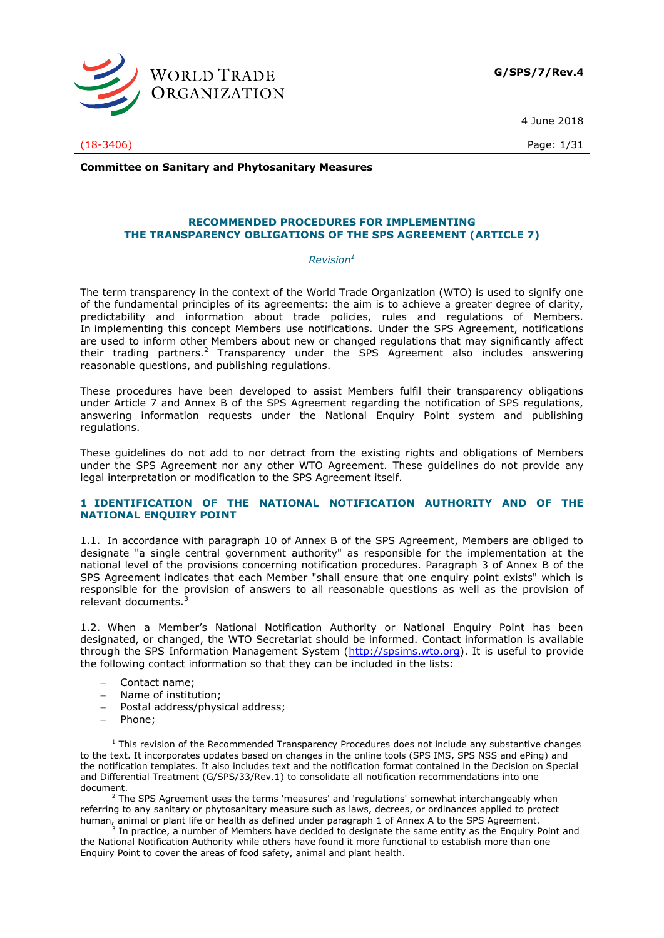

4 June 2018

(18-3406) Page: 1/31

**Committee on Sanitary and Phytosanitary Measures**

#### **RECOMMENDED PROCEDURES FOR IMPLEMENTING THE TRANSPARENCY OBLIGATIONS OF THE SPS AGREEMENT (ARTICLE 7)**

#### *Revision<sup>1</sup>*

The term transparency in the context of the World Trade Organization (WTO) is used to signify one of the fundamental principles of its agreements: the aim is to achieve a greater degree of clarity, predictability and information about trade policies, rules and regulations of Members. In implementing this concept Members use notifications. Under the SPS Agreement, notifications are used to inform other Members about new or changed regulations that may significantly affect their trading partners.<sup>2</sup> Transparency under the SPS Agreement also includes answering reasonable questions, and publishing regulations.

These procedures have been developed to assist Members fulfil their transparency obligations under Article 7 and Annex B of the SPS Agreement regarding the notification of SPS regulations, answering information requests under the National Enquiry Point system and publishing regulations.

These guidelines do not add to nor detract from the existing rights and obligations of Members under the SPS Agreement nor any other WTO Agreement. These guidelines do not provide any legal interpretation or modification to the SPS Agreement itself.

#### **1 IDENTIFICATION OF THE NATIONAL NOTIFICATION AUTHORITY AND OF THE NATIONAL ENQUIRY POINT**

1.1. In accordance with paragraph 10 of Annex B of the SPS Agreement, Members are obliged to designate "a single central government authority" as responsible for the implementation at the national level of the provisions concerning notification procedures. Paragraph 3 of Annex B of the SPS Agreement indicates that each Member "shall ensure that one enquiry point exists" which is responsible for the provision of answers to all reasonable questions as well as the provision of relevant documents.<sup>3</sup>

1.2. When a Member's National Notification Authority or National Enquiry Point has been designated, or changed, the WTO Secretariat should be informed. Contact information is available through the SPS Information Management System [\(http://spsims.wto.org\)](http://spsims.wto.org/). It is useful to provide the following contact information so that they can be included in the lists:

- Contact name;
- Name of institution:
- Postal address/physical address;
- Phone:

 $<sup>2</sup>$  The SPS Agreement uses the terms 'measures' and 'regulations' somewhat interchangeably when</sup> referring to any sanitary or phytosanitary measure such as laws, decrees, or ordinances applied to protect human, animal or plant life or health as defined under paragraph 1 of Annex A to the SPS Agreement.<br><sup>3</sup> In practice, a number of Mombers have decided to decignate the same entity as the Enguiry.

In practice, a number of Members have decided to designate the same entity as the Enquiry Point and the National Notification Authority while others have found it more functional to establish more than one Enquiry Point to cover the areas of food safety, animal and plant health.

<sup>-</sup> $1$  This revision of the Recommended Transparency Procedures does not include any substantive changes to the text. It incorporates updates based on changes in the online tools (SPS IMS, SPS NSS and ePing) and the notification templates. It also includes text and the notification format contained in the Decision on Special and Differential Treatment (G/SPS/33/Rev.1) to consolidate all notification recommendations into one document.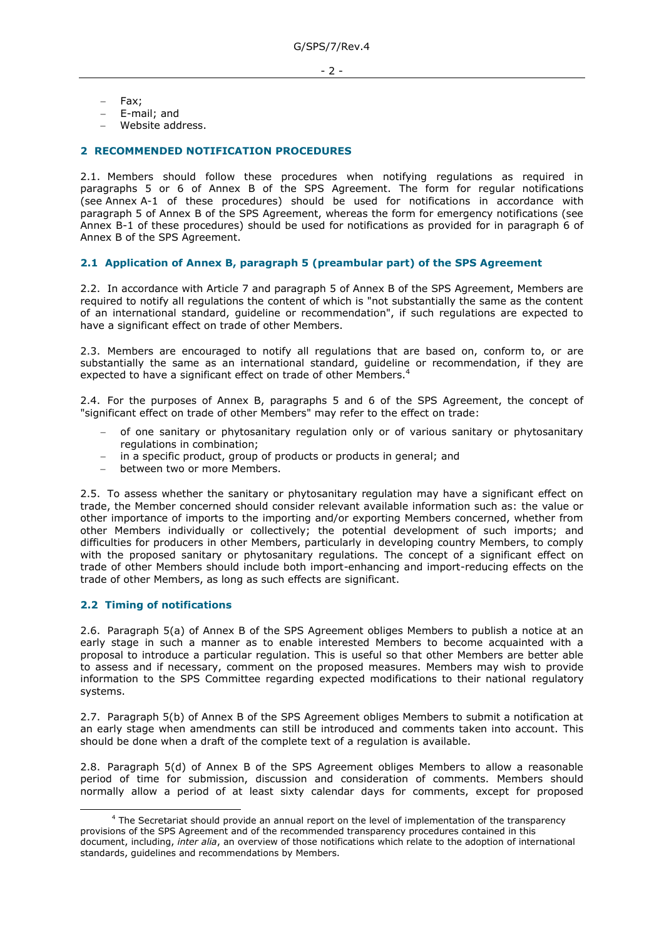- 2 -

- Fax;
- E-mail; and
- Website address.

### **2 RECOMMENDED NOTIFICATION PROCEDURES**

2.1. Members should follow these procedures when notifying regulations as required in paragraphs 5 or 6 of Annex B of the SPS Agreement. The form for regular notifications (see Annex A-1 of these procedures) should be used for notifications in accordance with paragraph 5 of Annex B of the SPS Agreement, whereas the form for emergency notifications (see Annex B-1 of these procedures) should be used for notifications as provided for in paragraph 6 of Annex B of the SPS Agreement.

#### **2.1 Application of Annex B, paragraph 5 (preambular part) of the SPS Agreement**

2.2. In accordance with Article 7 and paragraph 5 of Annex B of the SPS Agreement, Members are required to notify all regulations the content of which is "not substantially the same as the content of an international standard, guideline or recommendation", if such regulations are expected to have a significant effect on trade of other Members.

2.3. Members are encouraged to notify all regulations that are based on, conform to, or are substantially the same as an international standard, guideline or recommendation, if they are expected to have a significant effect on trade of other Members.<sup>4</sup>

2.4. For the purposes of Annex B, paragraphs 5 and 6 of the SPS Agreement, the concept of "significant effect on trade of other Members" may refer to the effect on trade:

- of one sanitary or phytosanitary regulation only or of various sanitary or phytosanitary regulations in combination;
- in a specific product, group of products or products in general; and
- between two or more Members.

2.5. To assess whether the sanitary or phytosanitary regulation may have a significant effect on trade, the Member concerned should consider relevant available information such as: the value or other importance of imports to the importing and/or exporting Members concerned, whether from other Members individually or collectively; the potential development of such imports; and difficulties for producers in other Members, particularly in developing country Members, to comply with the proposed sanitary or phytosanitary regulations. The concept of a significant effect on trade of other Members should include both import-enhancing and import-reducing effects on the trade of other Members, as long as such effects are significant.

#### **2.2 Timing of notifications**

-

2.6. Paragraph 5(a) of Annex B of the SPS Agreement obliges Members to publish a notice at an early stage in such a manner as to enable interested Members to become acquainted with a proposal to introduce a particular regulation. This is useful so that other Members are better able to assess and if necessary, comment on the proposed measures. Members may wish to provide information to the SPS Committee regarding expected modifications to their national regulatory systems.

2.7. Paragraph 5(b) of Annex B of the SPS Agreement obliges Members to submit a notification at an early stage when amendments can still be introduced and comments taken into account. This should be done when a draft of the complete text of a regulation is available.

2.8. Paragraph 5(d) of Annex B of the SPS Agreement obliges Members to allow a reasonable period of time for submission, discussion and consideration of comments. Members should normally allow a period of at least sixty calendar days for comments, except for proposed

<sup>&</sup>lt;sup>4</sup> The Secretariat should provide an annual report on the level of implementation of the transparency provisions of the SPS Agreement and of the recommended transparency procedures contained in this

document, including, *inter alia*, an overview of those notifications which relate to the adoption of international standards, guidelines and recommendations by Members.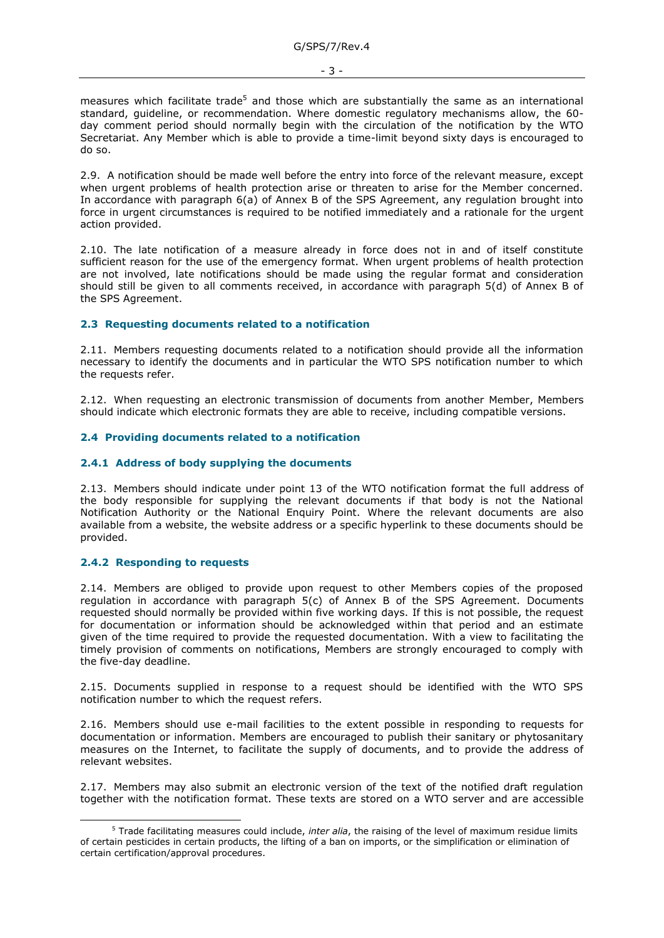measures which facilitate trade<sup>5</sup> and those which are substantially the same as an international standard, guideline, or recommendation. Where domestic regulatory mechanisms allow, the 60 day comment period should normally begin with the circulation of the notification by the WTO Secretariat. Any Member which is able to provide a time-limit beyond sixty days is encouraged to do so.

2.9. A notification should be made well before the entry into force of the relevant measure, except when urgent problems of health protection arise or threaten to arise for the Member concerned. In accordance with paragraph 6(a) of Annex B of the SPS Agreement, any regulation brought into force in urgent circumstances is required to be notified immediately and a rationale for the urgent action provided.

2.10. The late notification of a measure already in force does not in and of itself constitute sufficient reason for the use of the emergency format. When urgent problems of health protection are not involved, late notifications should be made using the regular format and consideration should still be given to all comments received, in accordance with paragraph 5(d) of Annex B of the SPS Agreement.

#### **2.3 Requesting documents related to a notification**

2.11. Members requesting documents related to a notification should provide all the information necessary to identify the documents and in particular the WTO SPS notification number to which the requests refer.

2.12. When requesting an electronic transmission of documents from another Member, Members should indicate which electronic formats they are able to receive, including compatible versions.

#### **2.4 Providing documents related to a notification**

#### **2.4.1 Address of body supplying the documents**

2.13. Members should indicate under point 13 of the WTO notification format the full address of the body responsible for supplying the relevant documents if that body is not the National Notification Authority or the National Enquiry Point. Where the relevant documents are also available from a website, the website address or a specific hyperlink to these documents should be provided.

#### **2.4.2 Responding to requests**

-

2.14. Members are obliged to provide upon request to other Members copies of the proposed regulation in accordance with paragraph 5(c) of Annex B of the SPS Agreement. Documents requested should normally be provided within five working days. If this is not possible, the request for documentation or information should be acknowledged within that period and an estimate given of the time required to provide the requested documentation. With a view to facilitating the timely provision of comments on notifications, Members are strongly encouraged to comply with the five-day deadline.

2.15. Documents supplied in response to a request should be identified with the WTO SPS notification number to which the request refers.

2.16. Members should use e-mail facilities to the extent possible in responding to requests for documentation or information. Members are encouraged to publish their sanitary or phytosanitary measures on the Internet, to facilitate the supply of documents, and to provide the address of relevant websites.

2.17. Members may also submit an electronic version of the text of the notified draft regulation together with the notification format. These texts are stored on a WTO server and are accessible

<sup>5</sup> Trade facilitating measures could include, *inter alia*, the raising of the level of maximum residue limits of certain pesticides in certain products, the lifting of a ban on imports, or the simplification or elimination of certain certification/approval procedures.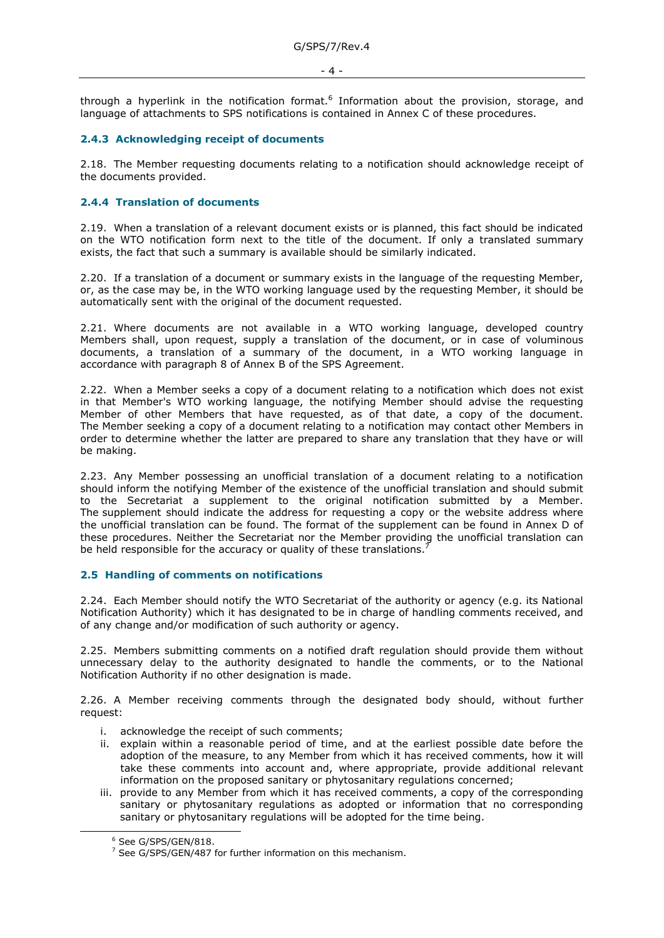- 4 -

through a hyperlink in the notification format.<sup>6</sup> Information about the provision, storage, and language of attachments to SPS notifications is contained in Annex C of these procedures.

### **2.4.3 Acknowledging receipt of documents**

2.18. The Member requesting documents relating to a notification should acknowledge receipt of the documents provided.

# **2.4.4 Translation of documents**

2.19. When a translation of a relevant document exists or is planned, this fact should be indicated on the WTO notification form next to the title of the document. If only a translated summary exists, the fact that such a summary is available should be similarly indicated.

2.20. If a translation of a document or summary exists in the language of the requesting Member, or, as the case may be, in the WTO working language used by the requesting Member, it should be automatically sent with the original of the document requested.

2.21. Where documents are not available in a WTO working language, developed country Members shall, upon request, supply a translation of the document, or in case of voluminous documents, a translation of a summary of the document, in a WTO working language in accordance with paragraph 8 of Annex B of the SPS Agreement.

2.22. When a Member seeks a copy of a document relating to a notification which does not exist in that Member's WTO working language, the notifying Member should advise the requesting Member of other Members that have requested, as of that date, a copy of the document. The Member seeking a copy of a document relating to a notification may contact other Members in order to determine whether the latter are prepared to share any translation that they have or will be making.

2.23. Any Member possessing an unofficial translation of a document relating to a notification should inform the notifying Member of the existence of the unofficial translation and should submit to the Secretariat a supplement to the original notification submitted by a Member. The supplement should indicate the address for requesting a copy or the website address where the unofficial translation can be found. The format of the supplement can be found in Annex D of these procedures. Neither the Secretariat nor the Member providing the unofficial translation can be held responsible for the accuracy or quality of these translations.

#### **2.5 Handling of comments on notifications**

2.24. Each Member should notify the WTO Secretariat of the authority or agency (e.g. its National Notification Authority) which it has designated to be in charge of handling comments received, and of any change and/or modification of such authority or agency.

2.25. Members submitting comments on a notified draft regulation should provide them without unnecessary delay to the authority designated to handle the comments, or to the National Notification Authority if no other designation is made.

2.26. A Member receiving comments through the designated body should, without further request:

- i. acknowledge the receipt of such comments;
- ii. explain within a reasonable period of time, and at the earliest possible date before the adoption of the measure, to any Member from which it has received comments, how it will take these comments into account and, where appropriate, provide additional relevant information on the proposed sanitary or phytosanitary regulations concerned;
- iii. provide to any Member from which it has received comments, a copy of the corresponding sanitary or phytosanitary regulations as adopted or information that no corresponding sanitary or phytosanitary regulations will be adopted for the time being.

-

<sup>6</sup> See G/SPS/GEN/818.

 $7$  See G/SPS/GEN/487 for further information on this mechanism.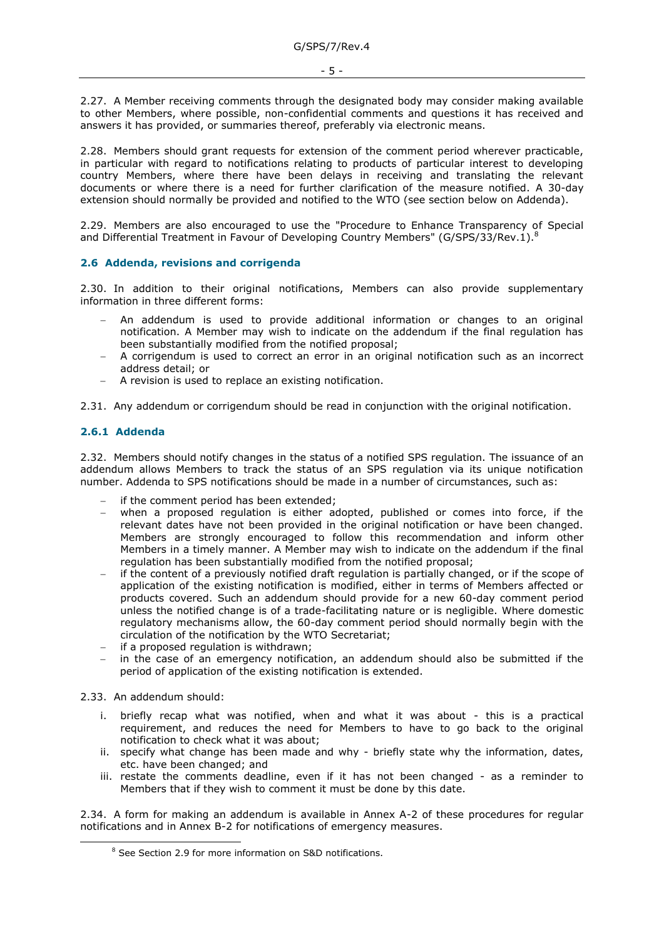2.27. A Member receiving comments through the designated body may consider making available to other Members, where possible, non-confidential comments and questions it has received and answers it has provided, or summaries thereof, preferably via electronic means.

2.28. Members should grant requests for extension of the comment period wherever practicable, in particular with regard to notifications relating to products of particular interest to developing country Members, where there have been delays in receiving and translating the relevant documents or where there is a need for further clarification of the measure notified. A 30-day extension should normally be provided and notified to the WTO (see section below on Addenda).

2.29. Members are also encouraged to use the "Procedure to Enhance Transparency of Special and Differential Treatment in Favour of Developing Country Members" (G/SPS/33/Rev.1).<sup>8</sup>

#### **2.6 Addenda, revisions and corrigenda**

2.30. In addition to their original notifications, Members can also provide supplementary information in three different forms:

- An addendum is used to provide additional information or changes to an original notification. A Member may wish to indicate on the addendum if the final regulation has been substantially modified from the notified proposal;
- A corrigendum is used to correct an error in an original notification such as an incorrect address detail; or
- A revision is used to replace an existing notification.

2.31. Any addendum or corrigendum should be read in conjunction with the original notification.

# **2.6.1 Addenda**

2.32. Members should notify changes in the status of a notified SPS regulation. The issuance of an addendum allows Members to track the status of an SPS regulation via its unique notification number. Addenda to SPS notifications should be made in a number of circumstances, such as:

- if the comment period has been extended;
- when a proposed regulation is either adopted, published or comes into force, if the relevant dates have not been provided in the original notification or have been changed. Members are strongly encouraged to follow this recommendation and inform other Members in a timely manner. A Member may wish to indicate on the addendum if the final regulation has been substantially modified from the notified proposal;
- if the content of a previously notified draft regulation is partially changed, or if the scope of application of the existing notification is modified, either in terms of Members affected or products covered. Such an addendum should provide for a new 60-day comment period unless the notified change is of a trade-facilitating nature or is negligible. Where domestic regulatory mechanisms allow, the 60-day comment period should normally begin with the circulation of the notification by the WTO Secretariat;
- if a proposed regulation is withdrawn;
- in the case of an emergency notification, an addendum should also be submitted if the period of application of the existing notification is extended.

#### 2.33. An addendum should:

-

- i. briefly recap what was notified, when and what it was about this is a practical requirement, and reduces the need for Members to have to go back to the original notification to check what it was about;
- ii. specify what change has been made and why briefly state why the information, dates, etc. have been changed; and
- iii. restate the comments deadline, even if it has not been changed as a reminder to Members that if they wish to comment it must be done by this date.

2.34. A form for making an addendum is available in Annex A-2 of these procedures for regular notifications and in Annex B-2 for notifications of emergency measures.

<sup>8</sup> See Section 2.9 for more information on S&D notifications.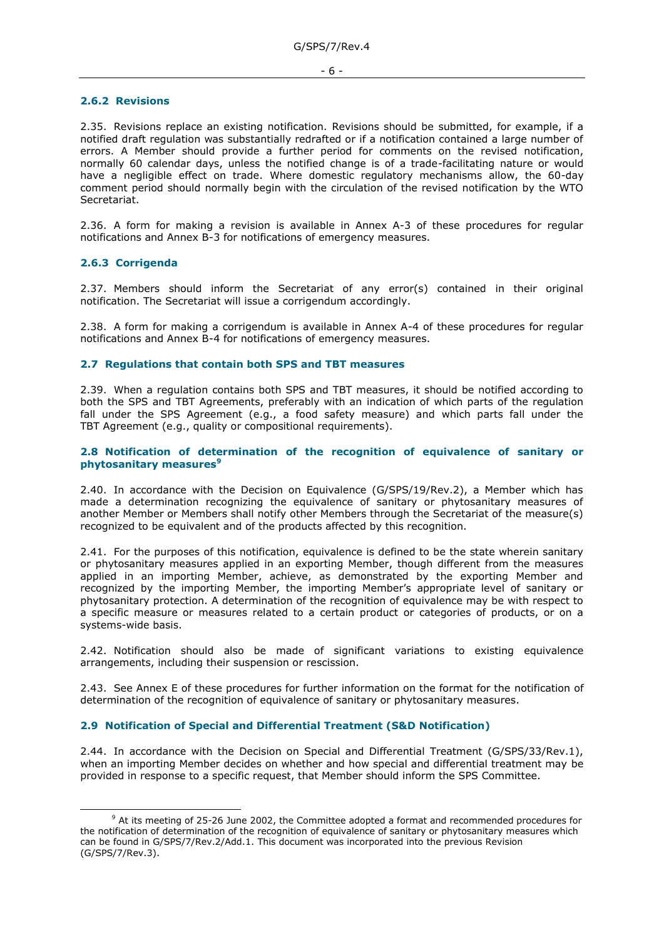#### **2.6.2 Revisions**

2.35. Revisions replace an existing notification. Revisions should be submitted, for example, if a notified draft regulation was substantially redrafted or if a notification contained a large number of errors. A Member should provide a further period for comments on the revised notification, normally 60 calendar days, unless the notified change is of a trade-facilitating nature or would have a negligible effect on trade. Where domestic regulatory mechanisms allow, the 60-day comment period should normally begin with the circulation of the revised notification by the WTO Secretariat.

2.36. A form for making a revision is available in Annex A-3 of these procedures for regular notifications and Annex B-3 for notifications of emergency measures.

#### **2.6.3 Corrigenda**

-

2.37. Members should inform the Secretariat of any error(s) contained in their original notification. The Secretariat will issue a corrigendum accordingly.

2.38. A form for making a corrigendum is available in Annex A-4 of these procedures for regular notifications and Annex B-4 for notifications of emergency measures.

#### **2.7 Regulations that contain both SPS and TBT measures**

2.39. When a regulation contains both SPS and TBT measures, it should be notified according to both the SPS and TBT Agreements, preferably with an indication of which parts of the regulation fall under the SPS Agreement (e.g., a food safety measure) and which parts fall under the TBT Agreement (e.g., quality or compositional requirements).

#### **2.8 Notification of determination of the recognition of equivalence of sanitary or phytosanitary measures<sup>9</sup>**

2.40. In accordance with the Decision on Equivalence (G/SPS/19/Rev.2), a Member which has made a determination recognizing the equivalence of sanitary or phytosanitary measures of another Member or Members shall notify other Members through the Secretariat of the measure(s) recognized to be equivalent and of the products affected by this recognition.

2.41. For the purposes of this notification, equivalence is defined to be the state wherein sanitary or phytosanitary measures applied in an exporting Member, though different from the measures applied in an importing Member, achieve, as demonstrated by the exporting Member and recognized by the importing Member, the importing Member's appropriate level of sanitary or phytosanitary protection. A determination of the recognition of equivalence may be with respect to a specific measure or measures related to a certain product or categories of products, or on a systems-wide basis.

2.42. Notification should also be made of significant variations to existing equivalence arrangements, including their suspension or rescission.

2.43. See Annex E of these procedures for further information on the format for the notification of determination of the recognition of equivalence of sanitary or phytosanitary measures.

#### **2.9 Notification of Special and Differential Treatment (S&D Notification)**

2.44. In accordance with the Decision on Special and Differential Treatment (G/SPS/33/Rev.1), when an importing Member decides on whether and how special and differential treatment may be provided in response to a specific request, that Member should inform the SPS Committee.

<sup>&</sup>lt;sup>9</sup> At its meeting of 25-26 June 2002, the Committee adopted a format and recommended procedures for the notification of determination of the recognition of equivalence of sanitary or phytosanitary measures which can be found in G/SPS/7/Rev.2/Add.1. This document was incorporated into the previous Revision (G/SPS/7/Rev.3).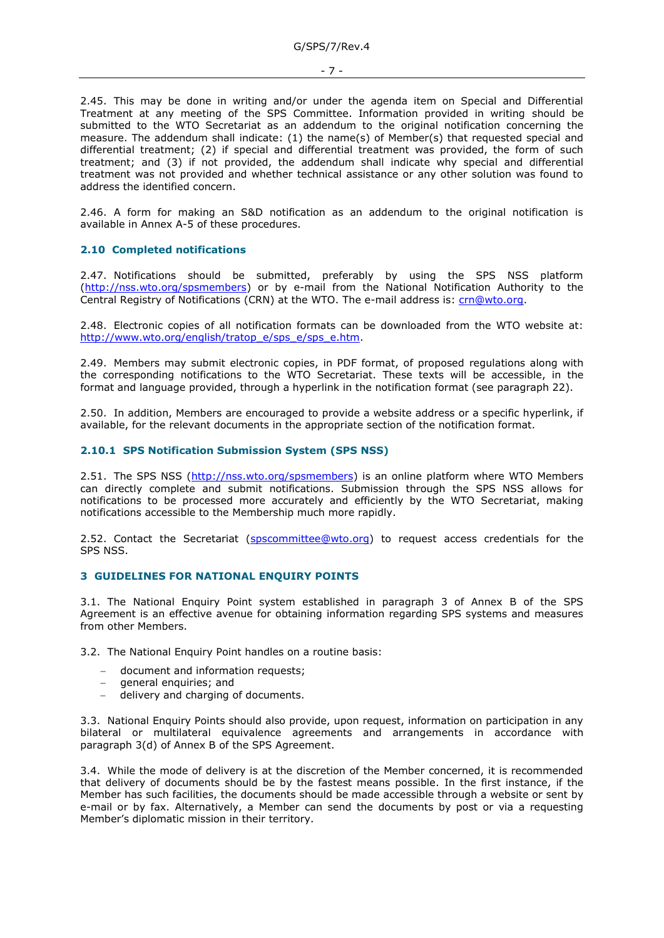- 7 -

2.45. This may be done in writing and/or under the agenda item on Special and Differential Treatment at any meeting of the SPS Committee. Information provided in writing should be submitted to the WTO Secretariat as an addendum to the original notification concerning the measure. The addendum shall indicate: (1) the name(s) of Member(s) that requested special and differential treatment; (2) if special and differential treatment was provided, the form of such treatment; and (3) if not provided, the addendum shall indicate why special and differential treatment was not provided and whether technical assistance or any other solution was found to address the identified concern.

2.46. A form for making an S&D notification as an addendum to the original notification is available in Annex A-5 of these procedures.

#### **2.10 Completed notifications**

2.47. Notifications should be submitted, preferably by using the SPS NSS platform [\(http://nss.wto.org/spsmembers\)](http://nss.wto.org/spsmembers) or by e-mail from the National Notification Authority to the Central Registry of Notifications (CRN) at the WTO. The e-mail address is: [crn@wto.org.](mailto:crn@wto.org)

2.48. Electronic copies of all notification formats can be downloaded from the WTO website at: [http://www.wto.org/english/tratop\\_e/sps\\_e/sps\\_e.htm.](http://www.wto.org/english/tratop_e/sps_e/sps_e.htm)

2.49. Members may submit electronic copies, in PDF format, of proposed regulations along with the corresponding notifications to the WTO Secretariat. These texts will be accessible, in the format and language provided, through a hyperlink in the notification format (see paragraph 22).

2.50. In addition, Members are encouraged to provide a website address or a specific hyperlink, if available, for the relevant documents in the appropriate section of the notification format.

#### **2.10.1 SPS Notification Submission System (SPS NSS)**

2.51. The SPS NSS [\(http://nss.wto.org/spsmembers\)](http://nss.wto.org/spsmembers) is an online platform where WTO Members can directly complete and submit notifications. Submission through the SPS NSS allows for notifications to be processed more accurately and efficiently by the WTO Secretariat, making notifications accessible to the Membership much more rapidly.

2.52. Contact the Secretariat [\(spscommittee@wto.org\)](mailto:spscommittee@wto.org) to request access credentials for the SPS NSS.

#### **3 GUIDELINES FOR NATIONAL ENQUIRY POINTS**

3.1. The National Enquiry Point system established in paragraph 3 of Annex B of the SPS Agreement is an effective avenue for obtaining information regarding SPS systems and measures from other Members.

3.2. The National Enquiry Point handles on a routine basis:

- document and information requests;
- general enquiries; and
- delivery and charging of documents.

3.3. National Enquiry Points should also provide, upon request, information on participation in any bilateral or multilateral equivalence agreements and arrangements in accordance with paragraph 3(d) of Annex B of the SPS Agreement.

3.4. While the mode of delivery is at the discretion of the Member concerned, it is recommended that delivery of documents should be by the fastest means possible. In the first instance, if the Member has such facilities, the documents should be made accessible through a website or sent by e-mail or by fax. Alternatively, a Member can send the documents by post or via a requesting Member's diplomatic mission in their territory.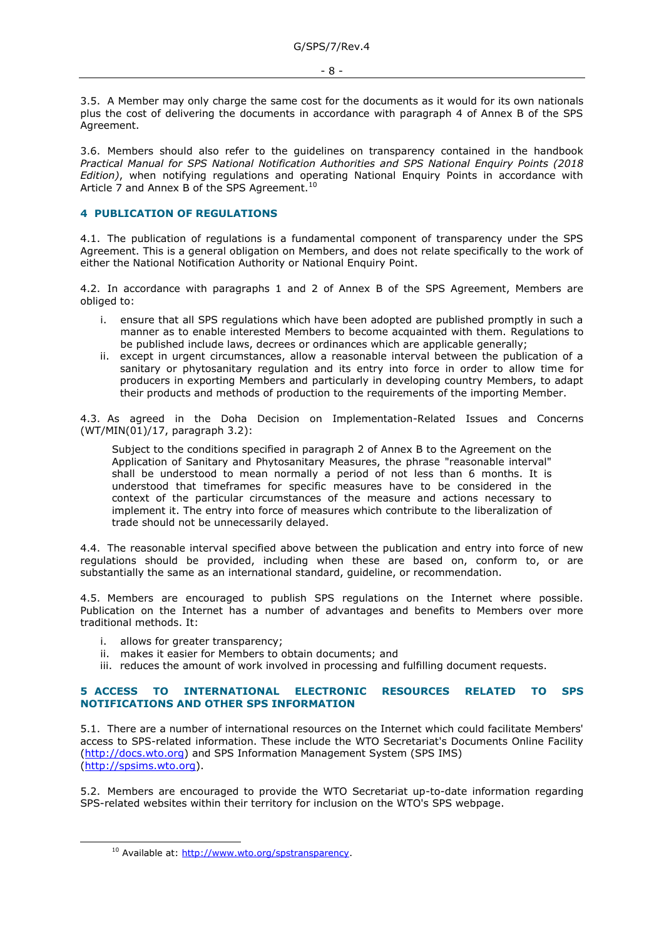3.5. A Member may only charge the same cost for the documents as it would for its own nationals plus the cost of delivering the documents in accordance with paragraph 4 of Annex B of the SPS Agreement.

3.6. Members should also refer to the guidelines on transparency contained in the handbook *Practical Manual for SPS National Notification Authorities and SPS National Enquiry Points (2018 Edition)*, when notifying regulations and operating National Enquiry Points in accordance with Article 7 and Annex B of the SPS Agreement.<sup>10</sup>

# **4 PUBLICATION OF REGULATIONS**

4.1. The publication of regulations is a fundamental component of transparency under the SPS Agreement. This is a general obligation on Members, and does not relate specifically to the work of either the National Notification Authority or National Enquiry Point.

4.2. In accordance with paragraphs 1 and 2 of Annex B of the SPS Agreement, Members are obliged to:

- i. ensure that all SPS regulations which have been adopted are published promptly in such a manner as to enable interested Members to become acquainted with them. Regulations to be published include laws, decrees or ordinances which are applicable generally;
- ii. except in urgent circumstances, allow a reasonable interval between the publication of a sanitary or phytosanitary regulation and its entry into force in order to allow time for producers in exporting Members and particularly in developing country Members, to adapt their products and methods of production to the requirements of the importing Member.

4.3. As agreed in the Doha Decision on Implementation-Related Issues and Concerns (WT/MIN(01)/17, paragraph 3.2):

Subject to the conditions specified in paragraph 2 of Annex B to the Agreement on the Application of Sanitary and Phytosanitary Measures, the phrase "reasonable interval" shall be understood to mean normally a period of not less than 6 months. It is understood that timeframes for specific measures have to be considered in the context of the particular circumstances of the measure and actions necessary to implement it. The entry into force of measures which contribute to the liberalization of trade should not be unnecessarily delayed.

4.4. The reasonable interval specified above between the publication and entry into force of new regulations should be provided, including when these are based on, conform to, or are substantially the same as an international standard, guideline, or recommendation.

4.5. Members are encouraged to publish SPS regulations on the Internet where possible. Publication on the Internet has a number of advantages and benefits to Members over more traditional methods. It:

i. allows for greater transparency:

-

- ii. makes it easier for Members to obtain documents; and
- iii. reduces the amount of work involved in processing and fulfilling document requests.

#### **5 ACCESS TO INTERNATIONAL ELECTRONIC RESOURCES RELATED TO SPS NOTIFICATIONS AND OTHER SPS INFORMATION**

5.1. There are a number of international resources on the Internet which could facilitate Members' access to SPS-related information. These include the WTO Secretariat's Documents Online Facility [\(http://docs.wto.org\)](http://docs.wto.org/) and SPS Information Management System (SPS IMS) [\(http://spsims.wto.org\)](http://spsims.wto.org/).

5.2. Members are encouraged to provide the WTO Secretariat up-to-date information regarding SPS-related websites within their territory for inclusion on the WTO's SPS webpage.

<sup>&</sup>lt;sup>10</sup> Available at: [http://www.wto.org/spstransparency.](http://www.wto.org/spstransparency)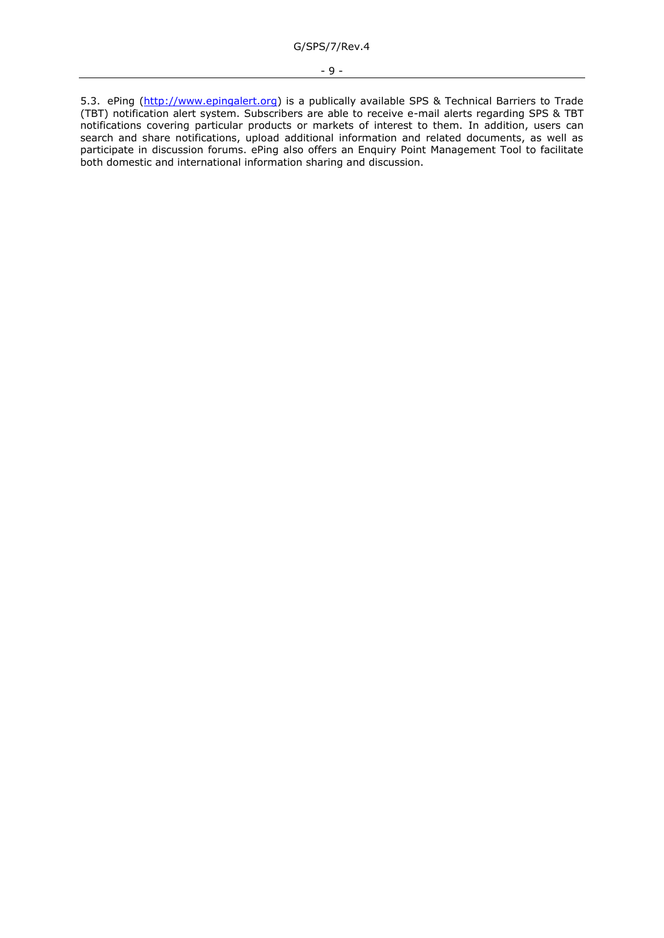5.3. ePing [\(http://www.epingalert.org\)](http://www.epingalert.org/) is a publically available SPS & Technical Barriers to Trade (TBT) notification alert system. Subscribers are able to receive e-mail alerts regarding SPS & TBT notifications covering particular products or markets of interest to them. In addition, users can search and share notifications, upload additional information and related documents, as well as participate in discussion forums. ePing also offers an Enquiry Point Management Tool to facilitate both domestic and international information sharing and discussion.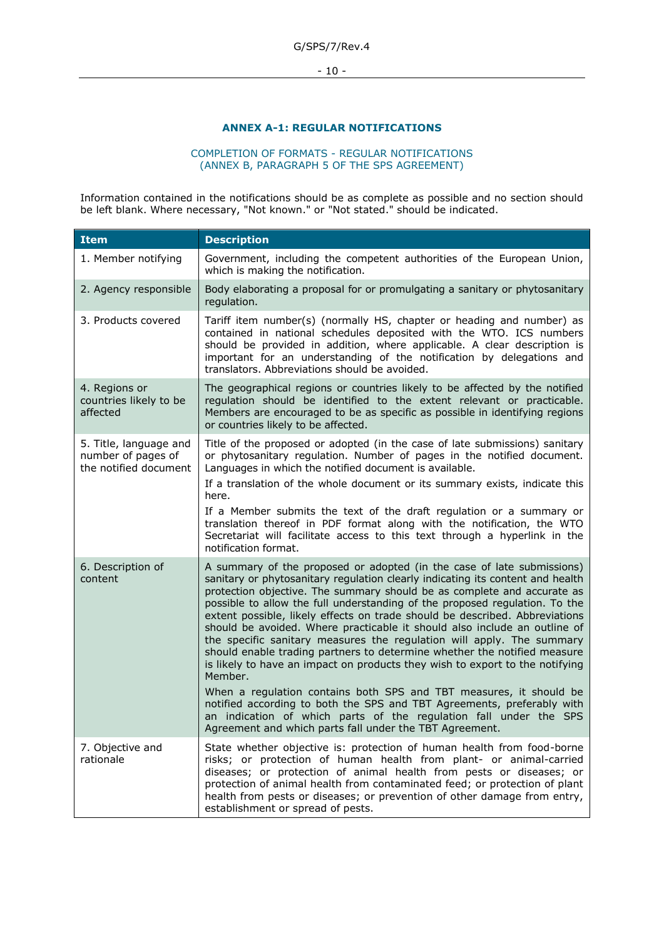- 10 -

# **ANNEX A-1: REGULAR NOTIFICATIONS**

#### COMPLETION OF FORMATS - REGULAR NOTIFICATIONS (ANNEX B, PARAGRAPH 5 OF THE SPS AGREEMENT)

Information contained in the notifications should be as complete as possible and no section should be left blank. Where necessary, "Not known." or "Not stated." should be indicated.

| Item                                                                  | <b>Description</b>                                                                                                                                                                                                                                                                                                                                                                                                                                                                                                                                                                                                                                                                                                             |
|-----------------------------------------------------------------------|--------------------------------------------------------------------------------------------------------------------------------------------------------------------------------------------------------------------------------------------------------------------------------------------------------------------------------------------------------------------------------------------------------------------------------------------------------------------------------------------------------------------------------------------------------------------------------------------------------------------------------------------------------------------------------------------------------------------------------|
| 1. Member notifying                                                   | Government, including the competent authorities of the European Union,<br>which is making the notification.                                                                                                                                                                                                                                                                                                                                                                                                                                                                                                                                                                                                                    |
| 2. Agency responsible                                                 | Body elaborating a proposal for or promulgating a sanitary or phytosanitary<br>regulation.                                                                                                                                                                                                                                                                                                                                                                                                                                                                                                                                                                                                                                     |
| 3. Products covered                                                   | Tariff item number(s) (normally HS, chapter or heading and number) as<br>contained in national schedules deposited with the WTO. ICS numbers<br>should be provided in addition, where applicable. A clear description is<br>important for an understanding of the notification by delegations and<br>translators. Abbreviations should be avoided.                                                                                                                                                                                                                                                                                                                                                                             |
| 4. Regions or<br>countries likely to be<br>affected                   | The geographical regions or countries likely to be affected by the notified<br>regulation should be identified to the extent relevant or practicable.<br>Members are encouraged to be as specific as possible in identifying regions<br>or countries likely to be affected.                                                                                                                                                                                                                                                                                                                                                                                                                                                    |
| 5. Title, language and<br>number of pages of<br>the notified document | Title of the proposed or adopted (in the case of late submissions) sanitary<br>or phytosanitary regulation. Number of pages in the notified document.<br>Languages in which the notified document is available.<br>If a translation of the whole document or its summary exists, indicate this<br>here.                                                                                                                                                                                                                                                                                                                                                                                                                        |
|                                                                       | If a Member submits the text of the draft regulation or a summary or<br>translation thereof in PDF format along with the notification, the WTO<br>Secretariat will facilitate access to this text through a hyperlink in the<br>notification format.                                                                                                                                                                                                                                                                                                                                                                                                                                                                           |
| 6. Description of<br>content                                          | A summary of the proposed or adopted (in the case of late submissions)<br>sanitary or phytosanitary regulation clearly indicating its content and health<br>protection objective. The summary should be as complete and accurate as<br>possible to allow the full understanding of the proposed regulation. To the<br>extent possible, likely effects on trade should be described. Abbreviations<br>should be avoided. Where practicable it should also include an outline of<br>the specific sanitary measures the regulation will apply. The summary<br>should enable trading partners to determine whether the notified measure<br>is likely to have an impact on products they wish to export to the notifying<br>Member. |
|                                                                       | When a regulation contains both SPS and TBT measures, it should be<br>notified according to both the SPS and TBT Agreements, preferably with<br>an indication of which parts of the regulation fall under the SPS<br>Agreement and which parts fall under the TBT Agreement.                                                                                                                                                                                                                                                                                                                                                                                                                                                   |
| 7. Objective and<br>rationale                                         | State whether objective is: protection of human health from food-borne<br>risks; or protection of human health from plant- or animal-carried<br>diseases; or protection of animal health from pests or diseases; or<br>protection of animal health from contaminated feed; or protection of plant<br>health from pests or diseases; or prevention of other damage from entry,<br>establishment or spread of pests.                                                                                                                                                                                                                                                                                                             |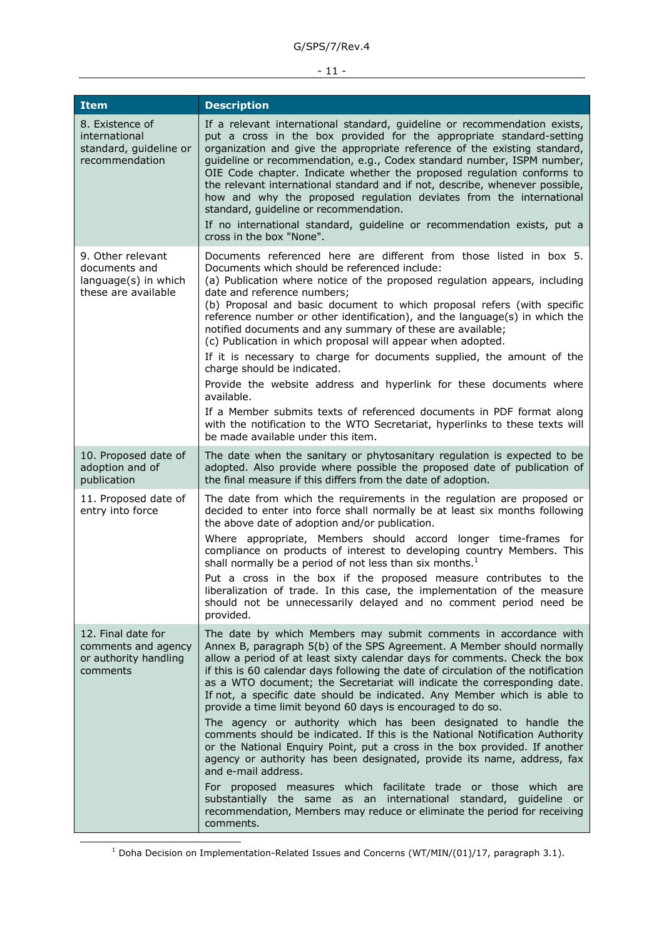# - 11 -

| <b>Item</b>                                                                       | <b>Description</b>                                                                                                                                                                                                                                                                                                                                                                                                                                                                                                                                                                                                                                                                                                                                                                                                                                                                                                                                                                                                                                                                                       |
|-----------------------------------------------------------------------------------|----------------------------------------------------------------------------------------------------------------------------------------------------------------------------------------------------------------------------------------------------------------------------------------------------------------------------------------------------------------------------------------------------------------------------------------------------------------------------------------------------------------------------------------------------------------------------------------------------------------------------------------------------------------------------------------------------------------------------------------------------------------------------------------------------------------------------------------------------------------------------------------------------------------------------------------------------------------------------------------------------------------------------------------------------------------------------------------------------------|
| 8. Existence of<br>international<br>standard, guideline or<br>recommendation      | If a relevant international standard, guideline or recommendation exists,<br>put a cross in the box provided for the appropriate standard-setting<br>organization and give the appropriate reference of the existing standard,<br>guideline or recommendation, e.g., Codex standard number, ISPM number,<br>OIE Code chapter. Indicate whether the proposed regulation conforms to<br>the relevant international standard and if not, describe, whenever possible,<br>how and why the proposed regulation deviates from the international<br>standard, guideline or recommendation.<br>If no international standard, guideline or recommendation exists, put a<br>cross in the box "None".                                                                                                                                                                                                                                                                                                                                                                                                               |
| 9. Other relevant<br>documents and<br>language(s) in which<br>these are available | Documents referenced here are different from those listed in box 5.<br>Documents which should be referenced include:<br>(a) Publication where notice of the proposed regulation appears, including<br>date and reference numbers;<br>(b) Proposal and basic document to which proposal refers (with specific<br>reference number or other identification), and the language(s) in which the<br>notified documents and any summary of these are available;<br>(c) Publication in which proposal will appear when adopted.<br>If it is necessary to charge for documents supplied, the amount of the<br>charge should be indicated.<br>Provide the website address and hyperlink for these documents where<br>available.<br>If a Member submits texts of referenced documents in PDF format along<br>with the notification to the WTO Secretariat, hyperlinks to these texts will<br>be made available under this item.                                                                                                                                                                                    |
| 10. Proposed date of<br>adoption and of<br>publication                            | The date when the sanitary or phytosanitary regulation is expected to be<br>adopted. Also provide where possible the proposed date of publication of<br>the final measure if this differs from the date of adoption.                                                                                                                                                                                                                                                                                                                                                                                                                                                                                                                                                                                                                                                                                                                                                                                                                                                                                     |
| 11. Proposed date of<br>entry into force                                          | The date from which the requirements in the regulation are proposed or<br>decided to enter into force shall normally be at least six months following<br>the above date of adoption and/or publication.                                                                                                                                                                                                                                                                                                                                                                                                                                                                                                                                                                                                                                                                                                                                                                                                                                                                                                  |
|                                                                                   | Where appropriate, Members should accord longer time-frames for<br>compliance on products of interest to developing country Members. This<br>shall normally be a period of not less than six months. $1$                                                                                                                                                                                                                                                                                                                                                                                                                                                                                                                                                                                                                                                                                                                                                                                                                                                                                                 |
|                                                                                   | Put a cross in the box if the proposed measure contributes to the<br>liberalization of trade. In this case, the implementation of the measure<br>should not be unnecessarily delayed and no comment period need be<br>provided.                                                                                                                                                                                                                                                                                                                                                                                                                                                                                                                                                                                                                                                                                                                                                                                                                                                                          |
| 12. Final date for<br>comments and agency<br>or authority handling<br>comments    | The date by which Members may submit comments in accordance with<br>Annex B, paragraph 5(b) of the SPS Agreement. A Member should normally<br>allow a period of at least sixty calendar days for comments. Check the box<br>if this is 60 calendar days following the date of circulation of the notification<br>as a WTO document; the Secretariat will indicate the corresponding date.<br>If not, a specific date should be indicated. Any Member which is able to<br>provide a time limit beyond 60 days is encouraged to do so.<br>The agency or authority which has been designated to handle the<br>comments should be indicated. If this is the National Notification Authority<br>or the National Enquiry Point, put a cross in the box provided. If another<br>agency or authority has been designated, provide its name, address, fax<br>and e-mail address.<br>For proposed measures which facilitate trade or those which are<br>substantially the same as an international standard, guideline or<br>recommendation, Members may reduce or eliminate the period for receiving<br>comments. |

 $1$  Doha Decision on Implementation-Related Issues and Concerns (WT/MIN/(01)/17, paragraph 3.1).

-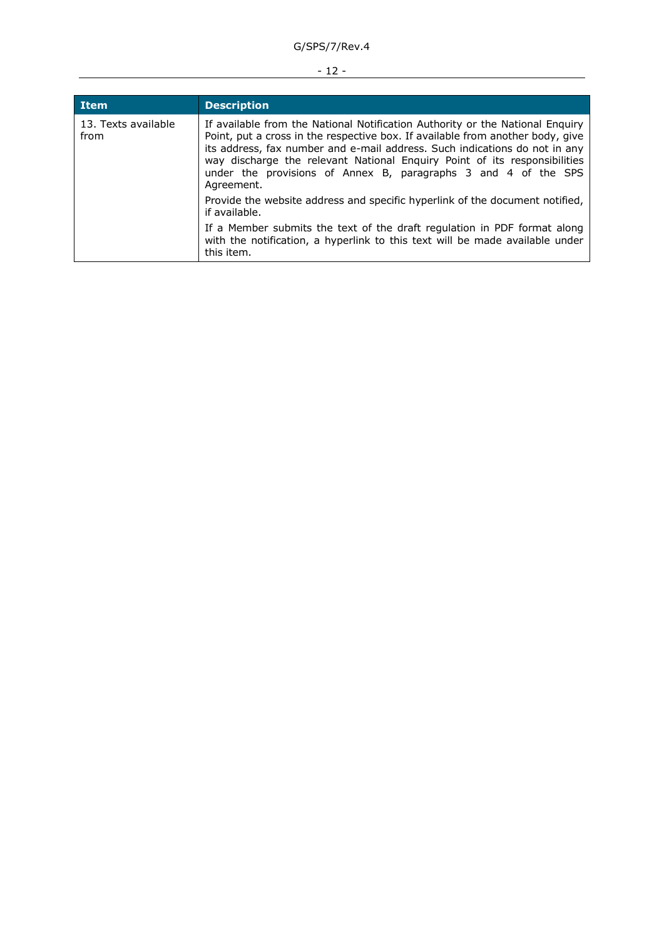# - 12 -

| <b>Item</b>                 | <b>Description</b>                                                                                                                                                                                                                                                                                                                                                                                         |
|-----------------------------|------------------------------------------------------------------------------------------------------------------------------------------------------------------------------------------------------------------------------------------------------------------------------------------------------------------------------------------------------------------------------------------------------------|
| 13. Texts available<br>from | If available from the National Notification Authority or the National Enquiry<br>Point, put a cross in the respective box. If available from another body, give<br>its address, fax number and e-mail address. Such indications do not in any<br>way discharge the relevant National Enquiry Point of its responsibilities<br>under the provisions of Annex B, paragraphs 3 and 4 of the SPS<br>Agreement. |
|                             | Provide the website address and specific hyperlink of the document notified,<br>if available.                                                                                                                                                                                                                                                                                                              |
|                             | If a Member submits the text of the draft regulation in PDF format along<br>with the notification, a hyperlink to this text will be made available under<br>this item.                                                                                                                                                                                                                                     |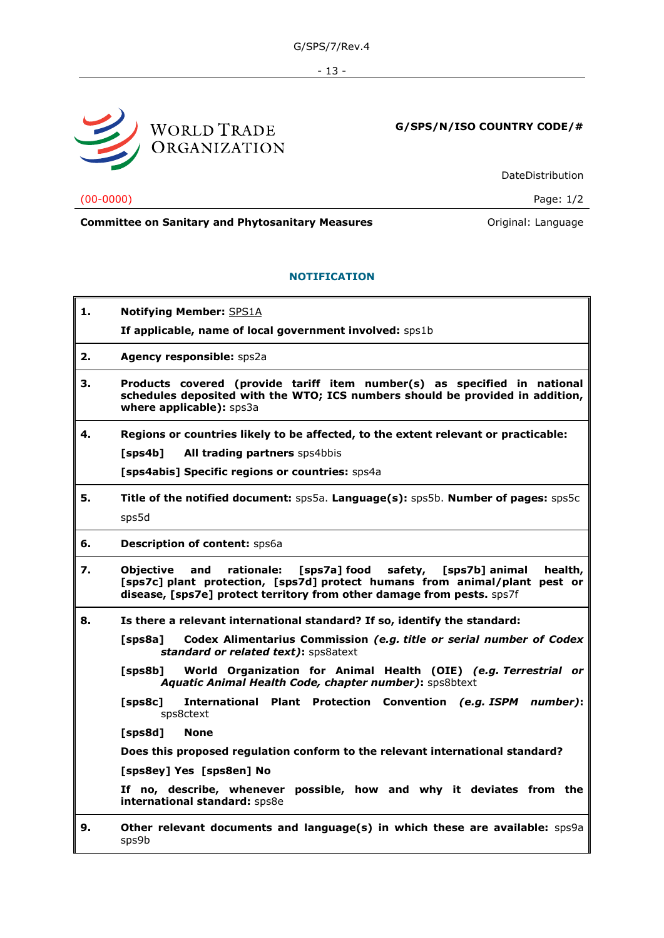- 13 -



# **G/SPS/N/ISO COUNTRY CODE/#**

DateDistribution

(00-0000) Page: 1/2

# **Committee on Sanitary and Phytosanitary Measures Committee on Sanitary and Phytosanitary Measures Original: Language**

# **NOTIFICATION**

**1. Notifying Member:** SPS1A **If applicable, name of local government involved:** sps1b **2. Agency responsible:** sps2a **3. Products covered (provide tariff item number(s) as specified in national schedules deposited with the WTO; ICS numbers should be provided in addition, where applicable):** sps3a **4. Regions or countries likely to be affected, to the extent relevant or practicable: [sps4b] All trading partners** sps4bbis **[sps4abis] Specific regions or countries:** sps4a **5. Title of the notified document:** sps5a. **Language(s):** sps5b. **Number of pages:** sps5c sps5d **6. Description of content:** sps6a **7. Objective and rationale: [sps7a] food safety, [sps7b] animal health, [sps7c] plant protection, [sps7d] protect humans from animal/plant pest or disease, [sps7e] protect territory from other damage from pests.** sps7f **8. Is there a relevant international standard? If so, identify the standard: [sps8a] Codex Alimentarius Commission** *(e.g. title or serial number of Codex standard or related text)***:** sps8atext **[sps8b] World Organization for Animal Health (OIE)** *(e.g. Terrestrial or Aquatic Animal Health Code, chapter number)***:** sps8btext **[sps8c] International Plant Protection Convention** *(e.g. ISPM number)***:**  sps8ctext **[sps8d] None Does this proposed regulation conform to the relevant international standard? [sps8ey] Yes [sps8en] No If no, describe, whenever possible, how and why it deviates from the international standard:** sps8e **9. Other relevant documents and language(s) in which these are available:** sps9a sps9b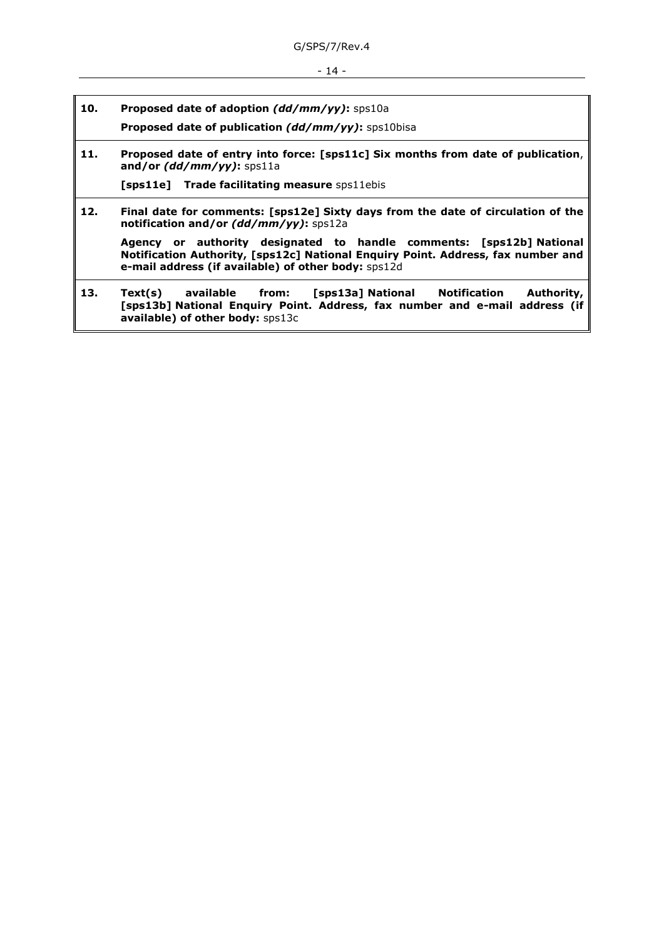- 14 -

**10. Proposed date of adoption** *(dd/mm/yy)***:** sps10a

**Proposed date of publication** *(dd/mm/yy)***:** sps10bisa

**11. Proposed date of entry into force: [sps11c] Six months from date of publication**, **and/or** *(dd/mm/yy)***:** sps11a

**[sps11e] Trade facilitating measure** sps11ebis

**12. Final date for comments: [sps12e] Sixty days from the date of circulation of the notification and/or** *(dd/mm/yy)***:** sps12a

**Agency or authority designated to handle comments: [sps12b] National Notification Authority, [sps12c] National Enquiry Point. Address, fax number and e-mail address (if available) of other body:** sps12d

**13. Text(s) available from: [sps13a] National Notification Authority, [sps13b] National Enquiry Point. Address, fax number and e-mail address (if available) of other body:** sps13c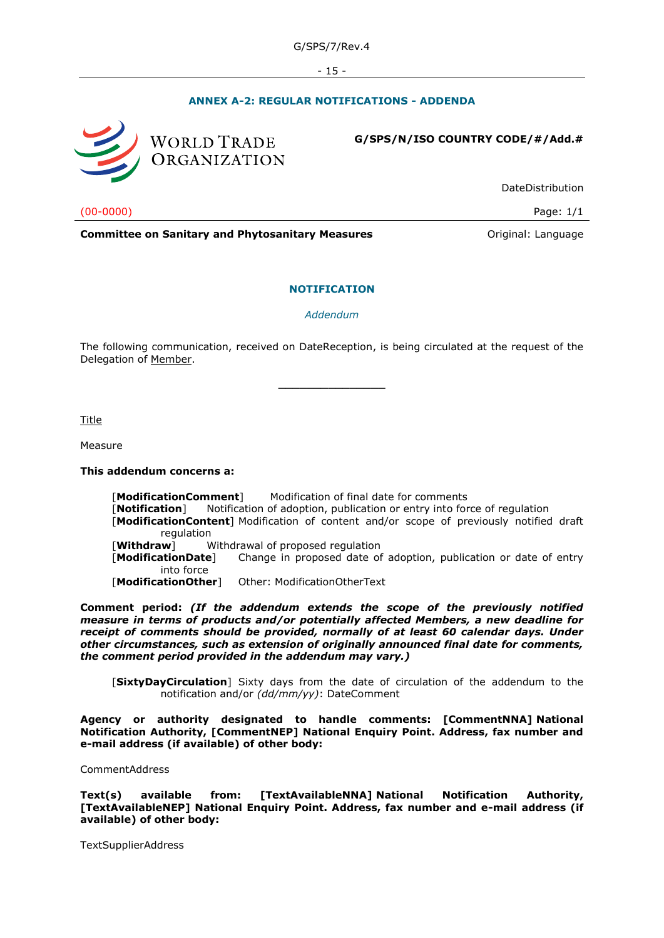- 15 -

# **ANNEX A-2: REGULAR NOTIFICATIONS - ADDENDA**



#### **G/SPS/N/ISO COUNTRY CODE/#/Add.#**

DateDistribution

(00-0000) Page: 1/1

**Committee on Sanitary and Phytosanitary Measures Committee on Sanitary and Phytosanitary Measures Committee School** 

#### **NOTIFICATION**

*Addendum*

The following communication, received on DateReception, is being circulated at the request of the Delegation of Member.

**\_\_\_\_\_\_\_\_\_\_\_\_\_\_\_**

Title

Measure

#### **This addendum concerns a:**

[**ModificationComment**] Modification of final date for comments [**Notification**] Notification of adoption, publication or entry into force of regulation [**ModificationContent**] Modification of content and/or scope of previously notified draft regulation [**Withdraw**] Withdrawal of proposed regulation [**ModificationDate**] Change in proposed date of adoption, publication or date of entry into force [**ModificationOther**] Other: ModificationOtherText

**Comment period:** *(If the addendum extends the scope of the previously notified measure in terms of products and/or potentially affected Members, a new deadline for receipt of comments should be provided, normally of at least 60 calendar days. Under other circumstances, such as extension of originally announced final date for comments, the comment period provided in the addendum may vary.)*

[**SixtyDayCirculation**] Sixty days from the date of circulation of the addendum to the notification and/or *(dd/mm/yy)*: DateComment

**Agency or authority designated to handle comments: [CommentNNA] National Notification Authority, [CommentNEP] National Enquiry Point. Address, fax number and e-mail address (if available) of other body:**

CommentAddress

**Text(s) available from: [TextAvailableNNA] National Notification Authority, [TextAvailableNEP] National Enquiry Point. Address, fax number and e-mail address (if available) of other body:**

TextSupplierAddress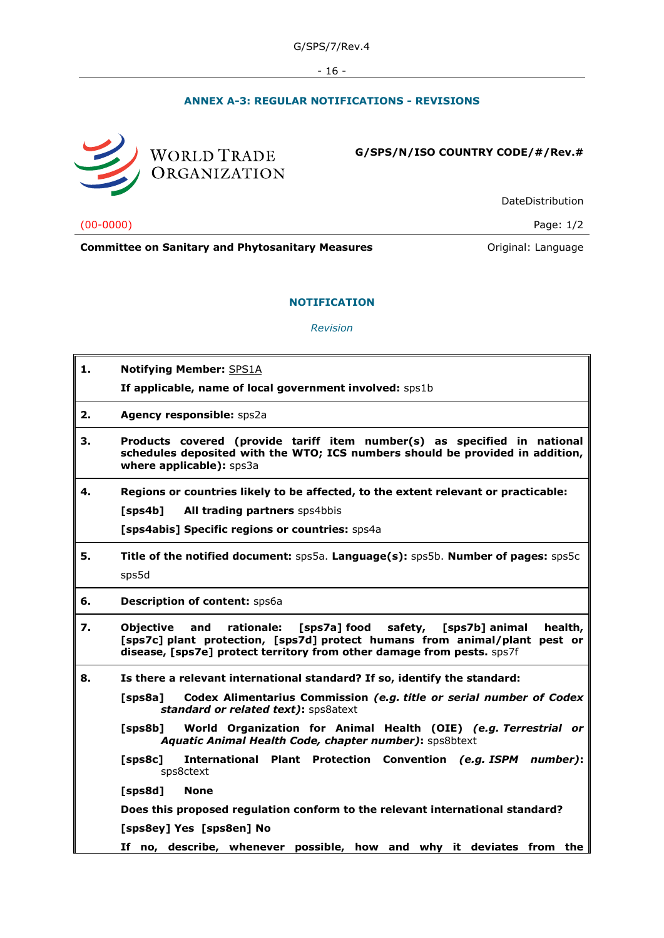- 16 -

# **ANNEX A-3: REGULAR NOTIFICATIONS - REVISIONS**



**G/SPS/N/ISO COUNTRY CODE/#/Rev.#**

DateDistribution

(00-0000) Page: 1/2

**Committee on Sanitary and Phytosanitary Measures Committee on Sanitary and Phytosanitary Measures Committee on Sanitary and Phytosanitary Measures** 

*Revision*

**NOTIFICATION**

| 1. | <b>Notifying Member: SPS1A</b>                                                                                                                                                                                                                        |
|----|-------------------------------------------------------------------------------------------------------------------------------------------------------------------------------------------------------------------------------------------------------|
|    | If applicable, name of local government involved: sps1b                                                                                                                                                                                               |
| 2. | Agency responsible: sps2a                                                                                                                                                                                                                             |
| 3. | Products covered (provide tariff item number(s) as specified in national<br>schedules deposited with the WTO; ICS numbers should be provided in addition,<br>where applicable): sps3a                                                                 |
| 4. | Regions or countries likely to be affected, to the extent relevant or practicable:                                                                                                                                                                    |
|    | All trading partners sps4bbis<br>[sps4b]                                                                                                                                                                                                              |
|    | [sps4abis] Specific regions or countries: sps4a                                                                                                                                                                                                       |
| 5. | Title of the notified document: sps5a. Language(s): sps5b. Number of pages: sps5c<br>sps5d                                                                                                                                                            |
| 6. | <b>Description of content: Sps6a</b>                                                                                                                                                                                                                  |
| 7. | rationale:<br>[sps7a] food<br>safety,<br>health,<br><b>Objective</b><br>and<br>[sps7b] animal<br>[sps7c] plant protection, [sps7d] protect humans from animal/plant pest or<br>disease, [sps7e] protect territory from other damage from pests. sps7f |
| 8. | Is there a relevant international standard? If so, identify the standard:                                                                                                                                                                             |
|    | Codex Alimentarius Commission (e.g. title or serial number of Codex<br>[sps8a]<br>standard or related text): sps8atext                                                                                                                                |
|    | World Organization for Animal Health (OIE) (e.g. Terrestrial or<br>$[$ sps $8b]$<br>Aquatic Animal Health Code, chapter number): sps8btext                                                                                                            |
|    | International Plant Protection Convention (e.g. ISPM number):<br>$[$ sps $8c]$<br>sps8ctext                                                                                                                                                           |
|    | [sps8d]<br><b>None</b>                                                                                                                                                                                                                                |
|    | Does this proposed regulation conform to the relevant international standard?                                                                                                                                                                         |
|    | [sps8ey] Yes [sps8en] No                                                                                                                                                                                                                              |
|    | If no, describe, whenever possible, how and why it deviates from the                                                                                                                                                                                  |
|    |                                                                                                                                                                                                                                                       |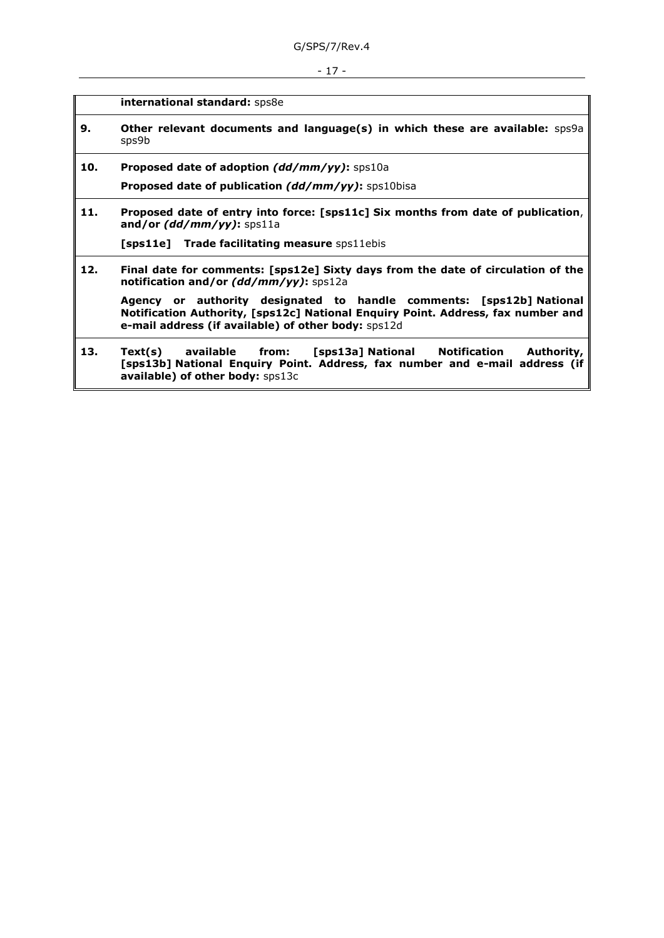- 17 -

**international standard:** sps8e

- **9. Other relevant documents and language(s) in which these are available:** sps9a sps9b
- **10. Proposed date of adoption** *(dd/mm/yy)***:** sps10a

**Proposed date of publication** *(dd/mm/yy)***:** sps10bisa

**11. Proposed date of entry into force: [sps11c] Six months from date of publication**, **and/or** *(dd/mm/yy)***:** sps11a

**[sps11e] Trade facilitating measure** sps11ebis

**12. Final date for comments: [sps12e] Sixty days from the date of circulation of the notification and/or** *(dd/mm/yy)***:** sps12a

**Agency or authority designated to handle comments: [sps12b] National Notification Authority, [sps12c] National Enquiry Point. Address, fax number and e-mail address (if available) of other body:** sps12d

**13. Text(s) available from: [sps13a] National Notification Authority, [sps13b] National Enquiry Point. Address, fax number and e-mail address (if available) of other body:** sps13c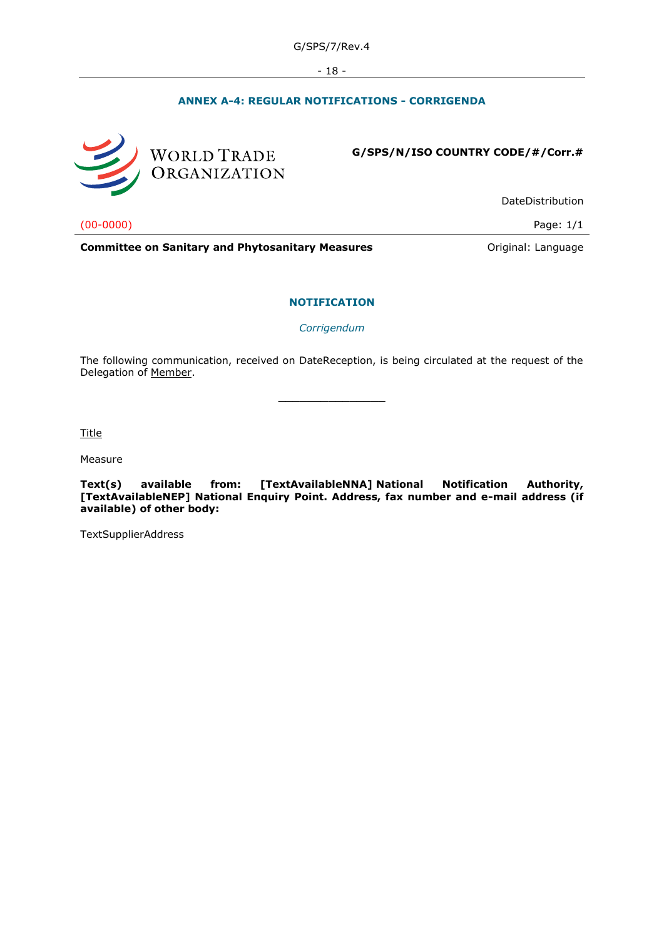- 18 -

# **ANNEX A-4: REGULAR NOTIFICATIONS - CORRIGENDA**



**G/SPS/N/ISO COUNTRY CODE/#/Corr.#**

DateDistribution

(00-0000) Page: 1/1

**Committee on Sanitary and Phytosanitary Measures Committee on Sanitary and Phytosanitary Measures Committee on Sanitary and Phytosanitary Measures** 

#### **NOTIFICATION**

*Corrigendum*

The following communication, received on DateReception, is being circulated at the request of the Delegation of Member.

**\_\_\_\_\_\_\_\_\_\_\_\_\_\_\_**

Title

Measure

**Text(s) available from: [TextAvailableNNA] National Notification Authority, [TextAvailableNEP] National Enquiry Point. Address, fax number and e-mail address (if available) of other body:**

TextSupplierAddress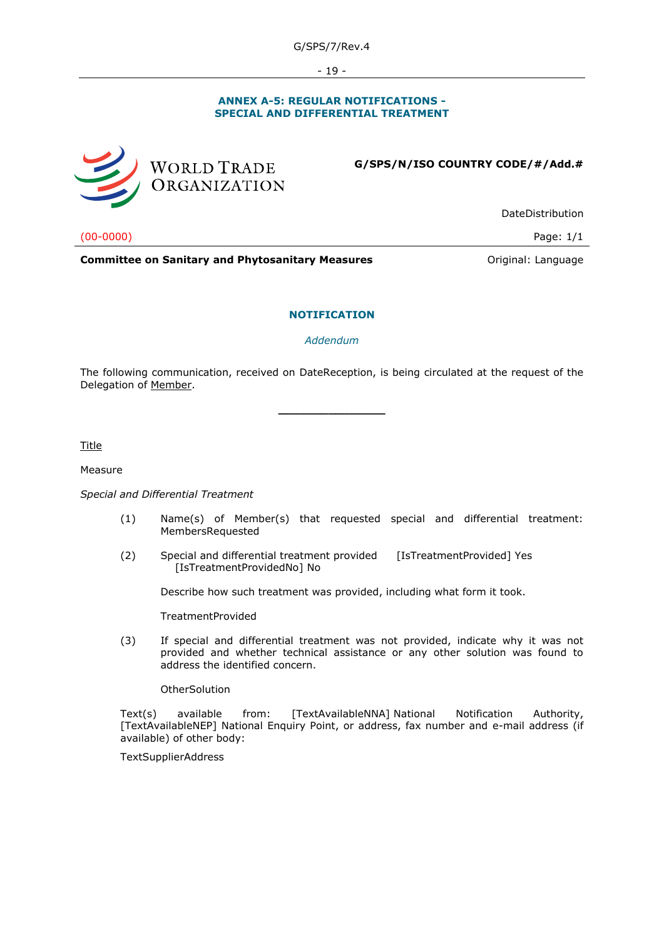- 19 -

#### **ANNEX A-5: REGULAR NOTIFICATIONS - SPECIAL AND DIFFERENTIAL TREATMENT**



WORLD TRADE ORGANIZATION

**G/SPS/N/ISO COUNTRY CODE/#/Add.#**

DateDistribution

(00-0000) Page: 1/1

**Committee on Sanitary and Phytosanitary Measures Committee on Sanitary and Phytosanitary Measures Committee Original:** Language

#### **NOTIFICATION**

*Addendum*

The following communication, received on DateReception, is being circulated at the request of the Delegation of Member.

**\_\_\_\_\_\_\_\_\_\_\_\_\_\_\_**

Title

#### Measure

#### *Special and Differential Treatment*

- (1) Name(s) of Member(s) that requested special and differential treatment: MembersRequested
- (2) Special and differential treatment provided [IsTreatmentProvided] Yes [IsTreatmentProvidedNo] No

Describe how such treatment was provided, including what form it took.

TreatmentProvided

(3) If special and differential treatment was not provided, indicate why it was not provided and whether technical assistance or any other solution was found to address the identified concern.

**OtherSolution** 

Text(s) available from: [TextAvailableNNA] National Notification Authority, [TextAvailableNEP] National Enquiry Point, or address, fax number and e-mail address (if available) of other body:

**TextSupplierAddress**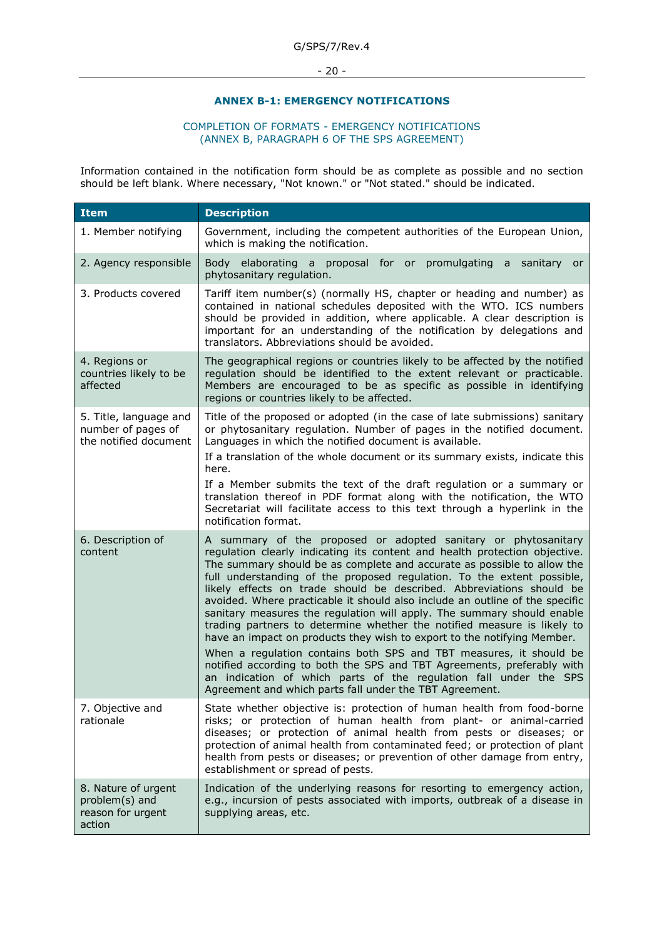- 20 -

### **ANNEX B-1: EMERGENCY NOTIFICATIONS**

#### COMPLETION OF FORMATS - EMERGENCY NOTIFICATIONS (ANNEX B, PARAGRAPH 6 OF THE SPS AGREEMENT)

Information contained in the notification form should be as complete as possible and no section should be left blank. Where necessary, "Not known." or "Not stated." should be indicated.

| <b>Item</b>                                                           | <b>Description</b>                                                                                                                                                                                                                                                                                                                                                                                                                                                                                                                                                                                                                                                                                                                                                                                                                                                                                                                                                        |
|-----------------------------------------------------------------------|---------------------------------------------------------------------------------------------------------------------------------------------------------------------------------------------------------------------------------------------------------------------------------------------------------------------------------------------------------------------------------------------------------------------------------------------------------------------------------------------------------------------------------------------------------------------------------------------------------------------------------------------------------------------------------------------------------------------------------------------------------------------------------------------------------------------------------------------------------------------------------------------------------------------------------------------------------------------------|
| 1. Member notifying                                                   | Government, including the competent authorities of the European Union,<br>which is making the notification.                                                                                                                                                                                                                                                                                                                                                                                                                                                                                                                                                                                                                                                                                                                                                                                                                                                               |
| 2. Agency responsible                                                 | Body elaborating a proposal for or promulgating a sanitary<br>or<br>phytosanitary regulation.                                                                                                                                                                                                                                                                                                                                                                                                                                                                                                                                                                                                                                                                                                                                                                                                                                                                             |
| 3. Products covered                                                   | Tariff item number(s) (normally HS, chapter or heading and number) as<br>contained in national schedules deposited with the WTO. ICS numbers<br>should be provided in addition, where applicable. A clear description is<br>important for an understanding of the notification by delegations and<br>translators. Abbreviations should be avoided.                                                                                                                                                                                                                                                                                                                                                                                                                                                                                                                                                                                                                        |
| 4. Regions or<br>countries likely to be<br>affected                   | The geographical regions or countries likely to be affected by the notified<br>regulation should be identified to the extent relevant or practicable.<br>Members are encouraged to be as specific as possible in identifying<br>regions or countries likely to be affected.                                                                                                                                                                                                                                                                                                                                                                                                                                                                                                                                                                                                                                                                                               |
| 5. Title, language and<br>number of pages of<br>the notified document | Title of the proposed or adopted (in the case of late submissions) sanitary<br>or phytosanitary regulation. Number of pages in the notified document.<br>Languages in which the notified document is available.<br>If a translation of the whole document or its summary exists, indicate this<br>here.<br>If a Member submits the text of the draft regulation or a summary or<br>translation thereof in PDF format along with the notification, the WTO<br>Secretariat will facilitate access to this text through a hyperlink in the<br>notification format.                                                                                                                                                                                                                                                                                                                                                                                                           |
| 6. Description of<br>content                                          | A summary of the proposed or adopted sanitary or phytosanitary<br>regulation clearly indicating its content and health protection objective.<br>The summary should be as complete and accurate as possible to allow the<br>full understanding of the proposed regulation. To the extent possible,<br>likely effects on trade should be described. Abbreviations should be<br>avoided. Where practicable it should also include an outline of the specific<br>sanitary measures the regulation will apply. The summary should enable<br>trading partners to determine whether the notified measure is likely to<br>have an impact on products they wish to export to the notifying Member.<br>When a regulation contains both SPS and TBT measures, it should be<br>notified according to both the SPS and TBT Agreements, preferably with<br>an indication of which parts of the regulation fall under the SPS<br>Agreement and which parts fall under the TBT Agreement. |
| 7. Objective and<br>rationale                                         | State whether objective is: protection of human health from food-borne<br>risks; or protection of human health from plant- or animal-carried<br>diseases; or protection of animal health from pests or diseases; or<br>protection of animal health from contaminated feed; or protection of plant<br>health from pests or diseases; or prevention of other damage from entry,<br>establishment or spread of pests.                                                                                                                                                                                                                                                                                                                                                                                                                                                                                                                                                        |
| 8. Nature of urgent<br>problem(s) and<br>reason for urgent<br>action  | Indication of the underlying reasons for resorting to emergency action,<br>e.g., incursion of pests associated with imports, outbreak of a disease in<br>supplying areas, etc.                                                                                                                                                                                                                                                                                                                                                                                                                                                                                                                                                                                                                                                                                                                                                                                            |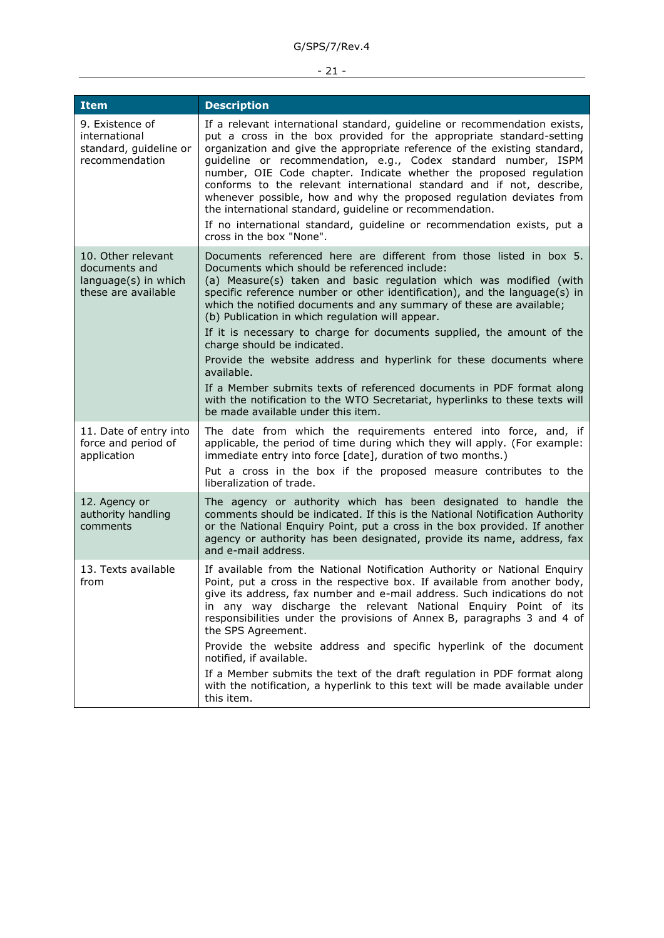# - 21 -

| <b>Item</b>                                                                        | <b>Description</b>                                                                                                                                                                                                                                                                                                                                                                                                                                                                                                                                                                                                                                                                                                                                                                                |
|------------------------------------------------------------------------------------|---------------------------------------------------------------------------------------------------------------------------------------------------------------------------------------------------------------------------------------------------------------------------------------------------------------------------------------------------------------------------------------------------------------------------------------------------------------------------------------------------------------------------------------------------------------------------------------------------------------------------------------------------------------------------------------------------------------------------------------------------------------------------------------------------|
| 9. Existence of<br>international<br>standard, guideline or<br>recommendation       | If a relevant international standard, guideline or recommendation exists,<br>put a cross in the box provided for the appropriate standard-setting<br>organization and give the appropriate reference of the existing standard,<br>guideline or recommendation, e.g., Codex standard number, ISPM<br>number, OIE Code chapter. Indicate whether the proposed regulation<br>conforms to the relevant international standard and if not, describe,<br>whenever possible, how and why the proposed regulation deviates from<br>the international standard, guideline or recommendation.<br>If no international standard, guideline or recommendation exists, put a<br>cross in the box "None".                                                                                                        |
| 10. Other relevant<br>documents and<br>language(s) in which<br>these are available | Documents referenced here are different from those listed in box 5.<br>Documents which should be referenced include:<br>(a) Measure(s) taken and basic regulation which was modified (with<br>specific reference number or other identification), and the language(s) in<br>which the notified documents and any summary of these are available;<br>(b) Publication in which regulation will appear.<br>If it is necessary to charge for documents supplied, the amount of the<br>charge should be indicated.<br>Provide the website address and hyperlink for these documents where<br>available.<br>If a Member submits texts of referenced documents in PDF format along<br>with the notification to the WTO Secretariat, hyperlinks to these texts will<br>be made available under this item. |
| 11. Date of entry into<br>force and period of<br>application                       | The date from which the requirements entered into force, and, if<br>applicable, the period of time during which they will apply. (For example:<br>immediate entry into force [date], duration of two months.)<br>Put a cross in the box if the proposed measure contributes to the<br>liberalization of trade.                                                                                                                                                                                                                                                                                                                                                                                                                                                                                    |
| 12. Agency or<br>authority handling<br>comments                                    | The agency or authority which has been designated to handle the<br>comments should be indicated. If this is the National Notification Authority<br>or the National Enquiry Point, put a cross in the box provided. If another<br>agency or authority has been designated, provide its name, address, fax<br>and e-mail address.                                                                                                                                                                                                                                                                                                                                                                                                                                                                   |
| 13. Texts available<br>from                                                        | If available from the National Notification Authority or National Enquiry<br>Point, put a cross in the respective box. If available from another body,<br>give its address, fax number and e-mail address. Such indications do not<br>in any way discharge the relevant National Enquiry Point of its<br>responsibilities under the provisions of Annex B, paragraphs 3 and 4 of<br>the SPS Agreement.<br>Provide the website address and specific hyperlink of the document<br>notified, if available.<br>If a Member submits the text of the draft regulation in PDF format along<br>with the notification, a hyperlink to this text will be made available under<br>this item.                                                                                                                 |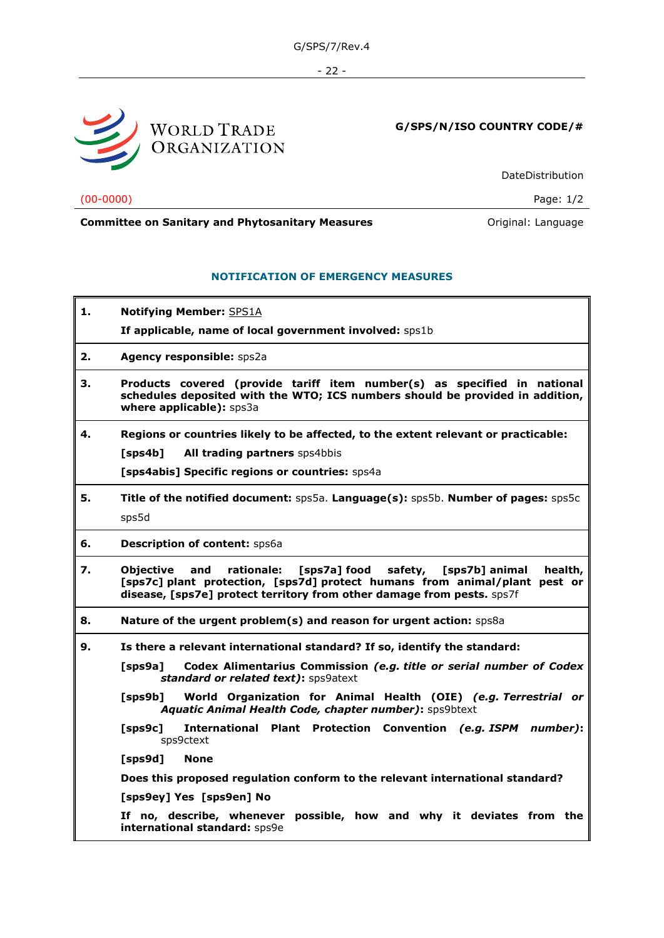- 22 -



**G/SPS/N/ISO COUNTRY CODE/#**

DateDistribution

(00-0000) Page: 1/2

# **Committee on Sanitary and Phytosanitary Measures Committee on Sanitary and Phytosanitary Measures Original: Language**

# **NOTIFICATION OF EMERGENCY MEASURES**

- **1. Notifying Member:** SPS1A
	- **If applicable, name of local government involved:** sps1b

**2. Agency responsible:** sps2a

- **3. Products covered (provide tariff item number(s) as specified in national schedules deposited with the WTO; ICS numbers should be provided in addition, where applicable):** sps3a
- **4. Regions or countries likely to be affected, to the extent relevant or practicable:**

**[sps4b] All trading partners** sps4bbis

**[sps4abis] Specific regions or countries:** sps4a

**5. Title of the notified document:** sps5a. **Language(s):** sps5b. **Number of pages:** sps5c sps5d

**6. Description of content:** sps6a

- **7. Objective and rationale: [sps7a] food safety, [sps7b] animal health, [sps7c] plant protection, [sps7d] protect humans from animal/plant pest or disease, [sps7e] protect territory from other damage from pests.** sps7f
- **8. Nature of the urgent problem(s) and reason for urgent action:** sps8a
- **9. Is there a relevant international standard? If so, identify the standard:** 
	- **[sps9a] Codex Alimentarius Commission** *(e.g. title or serial number of Codex standard or related text)***:** sps9atext
	- **[sps9b] World Organization for Animal Health (OIE)** *(e.g. Terrestrial or Aquatic Animal Health Code, chapter number)***:** sps9btext
	- **[sps9c] International Plant Protection Convention** *(e.g. ISPM number)***:** sps9ctext

**[sps9d] None**

**Does this proposed regulation conform to the relevant international standard?**

**[sps9ey] Yes [sps9en] No**

**If no, describe, whenever possible, how and why it deviates from the international standard:** sps9e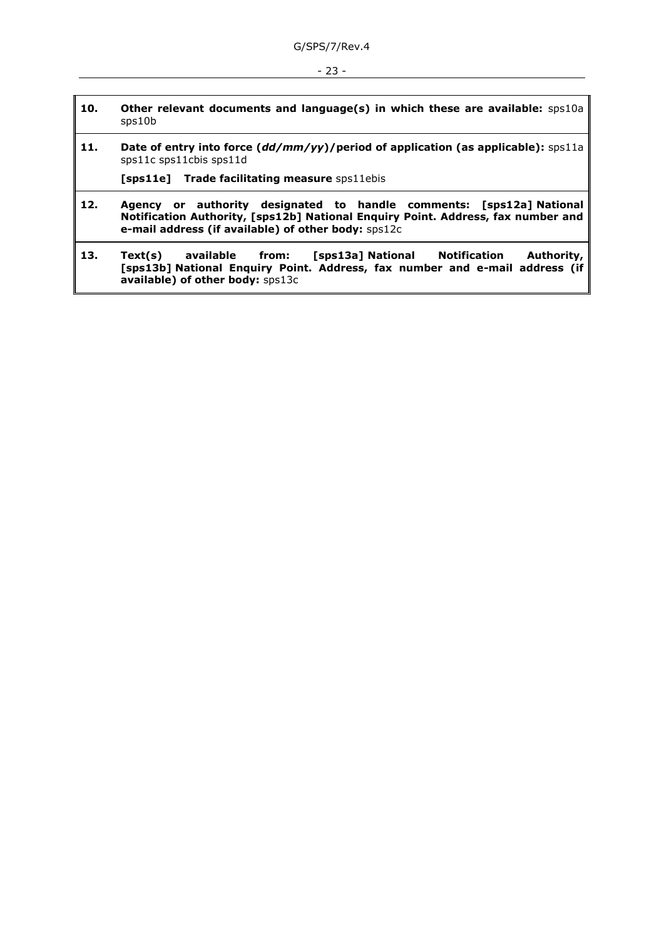### - 23 -

- **10. Other relevant documents and language(s) in which these are available:** sps10a sps10b
- **11. Date of entry into force (***dd/mm/yy***)/period of application (as applicable):** sps11a sps11c sps11cbis sps11d

**[sps11e] Trade facilitating measure** sps11ebis

- **12. Agency or authority designated to handle comments: [sps12a] National Notification Authority, [sps12b] National Enquiry Point. Address, fax number and e-mail address (if available) of other body:** sps12c
- **13. Text(s) available from: [sps13a] National Notification Authority, [sps13b] National Enquiry Point. Address, fax number and e-mail address (if available) of other body:** sps13c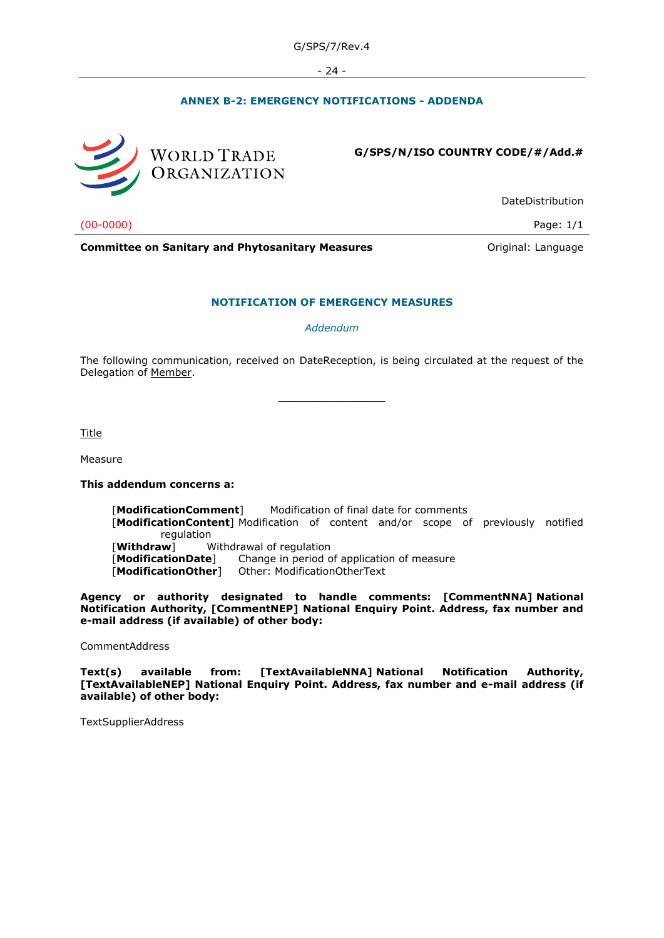- 24 -

# **ANNEX B-2: EMERGENCY NOTIFICATIONS - ADDENDA**



**G/SPS/N/ISO COUNTRY CODE/#/Add.#**

DateDistribution

(00-0000) Page: 1/1

**Committee on Sanitary and Phytosanitary Measures Committee on Sanitary and Phytosanitary Measures Committee And American** 

#### **NOTIFICATION OF EMERGENCY MEASURES**

*Addendum*

The following communication, received on DateReception, is being circulated at the request of the Delegation of Member.

**\_\_\_\_\_\_\_\_\_\_\_\_\_\_\_**

Title

Measure

#### **This addendum concerns a:**

[**ModificationComment**] Modification of final date for comments [**ModificationContent**] Modification of content and/or scope of previously notified regulation [**Withdraw**] Withdrawal of regulation [**ModificationDate**] Change in period of application of measure [**ModificationOther**] Other: ModificationOtherText

**Agency or authority designated to handle comments: [CommentNNA] National Notification Authority, [CommentNEP] National Enquiry Point. Address, fax number and e-mail address (if available) of other body:**

CommentAddress

**Text(s) available from: [TextAvailableNNA] National Notification Authority, [TextAvailableNEP] National Enquiry Point. Address, fax number and e-mail address (if available) of other body:**

TextSupplierAddress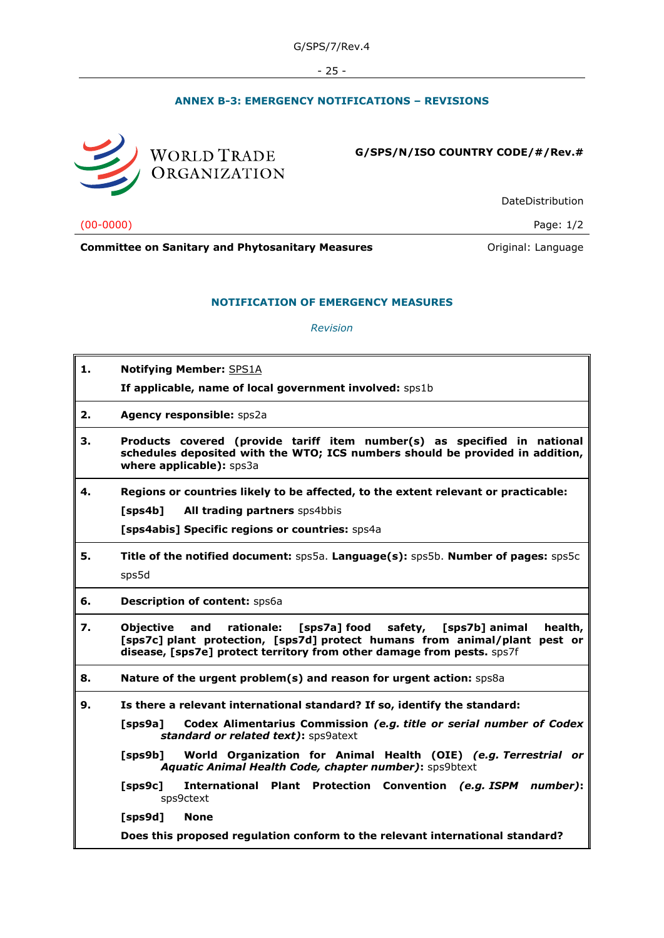- 25 -

# **ANNEX B-3: EMERGENCY NOTIFICATIONS – REVISIONS**



**G/SPS/N/ISO COUNTRY CODE/#/Rev.#**

DateDistribution

(00-0000) Page: 1/2

**Committee on Sanitary and Phytosanitary Measures Committee on Sanitary and Phytosanitary Measures Committee on Sanitary and Phytosanitary Measures** 

# **NOTIFICATION OF EMERGENCY MEASURES**

*Revision*

| 1.<br><b>Notifying Member: SPS1A</b><br>If applicable, name of local government involved: sps1b<br>Agency responsible: sps2a<br>2.<br>З.<br>Products covered (provide tariff item number(s) as specified in national<br>schedules deposited with the WTO; ICS numbers should be provided in addition,<br>where applicable): sps3a<br>4.<br>Regions or countries likely to be affected, to the extent relevant or practicable:<br>All trading partners sps4bbis<br>[sps4b]<br>[sps4abis] Specific regions or countries: sps4a<br>5.<br>Title of the notified document: sps5a. Language(s): sps5b. Number of pages: sps5c<br>sps5d<br>6.<br><b>Description of content: Sps6a</b><br>7.<br><b>Objective</b><br>and<br>rationale:<br>[sps7a] food<br>safety,<br>[sps7b] animal<br>health,<br>[sps7c] plant protection, [sps7d] protect humans from animal/plant pest or<br>disease, [sps7e] protect territory from other damage from pests. sps7f<br>Nature of the urgent problem(s) and reason for urgent action: Sps8a<br>8.<br>Is there a relevant international standard? If so, identify the standard:<br>9.<br>Codex Alimentarius Commission (e.g. title or serial number of Codex<br>$[$ sps $9a]$<br>standard or related text): sps9atext<br>$[$ sps $9b]$<br>World Organization for Animal Health (OIE) (e.g. Terrestrial or<br>Aquatic Animal Health Code, chapter number): sps9btext<br>$[$ sps $9c]$<br><b>International</b><br>Plant Protection Convention (e.g. ISPM<br>number):<br>sps9ctext<br>[sps9d]<br><b>None</b> |  |
|-----------------------------------------------------------------------------------------------------------------------------------------------------------------------------------------------------------------------------------------------------------------------------------------------------------------------------------------------------------------------------------------------------------------------------------------------------------------------------------------------------------------------------------------------------------------------------------------------------------------------------------------------------------------------------------------------------------------------------------------------------------------------------------------------------------------------------------------------------------------------------------------------------------------------------------------------------------------------------------------------------------------------------------------------------------------------------------------------------------------------------------------------------------------------------------------------------------------------------------------------------------------------------------------------------------------------------------------------------------------------------------------------------------------------------------------------------------------------------------------------------------------------------------|--|
|                                                                                                                                                                                                                                                                                                                                                                                                                                                                                                                                                                                                                                                                                                                                                                                                                                                                                                                                                                                                                                                                                                                                                                                                                                                                                                                                                                                                                                                                                                                                   |  |
|                                                                                                                                                                                                                                                                                                                                                                                                                                                                                                                                                                                                                                                                                                                                                                                                                                                                                                                                                                                                                                                                                                                                                                                                                                                                                                                                                                                                                                                                                                                                   |  |
|                                                                                                                                                                                                                                                                                                                                                                                                                                                                                                                                                                                                                                                                                                                                                                                                                                                                                                                                                                                                                                                                                                                                                                                                                                                                                                                                                                                                                                                                                                                                   |  |
|                                                                                                                                                                                                                                                                                                                                                                                                                                                                                                                                                                                                                                                                                                                                                                                                                                                                                                                                                                                                                                                                                                                                                                                                                                                                                                                                                                                                                                                                                                                                   |  |
|                                                                                                                                                                                                                                                                                                                                                                                                                                                                                                                                                                                                                                                                                                                                                                                                                                                                                                                                                                                                                                                                                                                                                                                                                                                                                                                                                                                                                                                                                                                                   |  |
|                                                                                                                                                                                                                                                                                                                                                                                                                                                                                                                                                                                                                                                                                                                                                                                                                                                                                                                                                                                                                                                                                                                                                                                                                                                                                                                                                                                                                                                                                                                                   |  |
|                                                                                                                                                                                                                                                                                                                                                                                                                                                                                                                                                                                                                                                                                                                                                                                                                                                                                                                                                                                                                                                                                                                                                                                                                                                                                                                                                                                                                                                                                                                                   |  |
|                                                                                                                                                                                                                                                                                                                                                                                                                                                                                                                                                                                                                                                                                                                                                                                                                                                                                                                                                                                                                                                                                                                                                                                                                                                                                                                                                                                                                                                                                                                                   |  |
|                                                                                                                                                                                                                                                                                                                                                                                                                                                                                                                                                                                                                                                                                                                                                                                                                                                                                                                                                                                                                                                                                                                                                                                                                                                                                                                                                                                                                                                                                                                                   |  |
|                                                                                                                                                                                                                                                                                                                                                                                                                                                                                                                                                                                                                                                                                                                                                                                                                                                                                                                                                                                                                                                                                                                                                                                                                                                                                                                                                                                                                                                                                                                                   |  |
|                                                                                                                                                                                                                                                                                                                                                                                                                                                                                                                                                                                                                                                                                                                                                                                                                                                                                                                                                                                                                                                                                                                                                                                                                                                                                                                                                                                                                                                                                                                                   |  |
|                                                                                                                                                                                                                                                                                                                                                                                                                                                                                                                                                                                                                                                                                                                                                                                                                                                                                                                                                                                                                                                                                                                                                                                                                                                                                                                                                                                                                                                                                                                                   |  |
|                                                                                                                                                                                                                                                                                                                                                                                                                                                                                                                                                                                                                                                                                                                                                                                                                                                                                                                                                                                                                                                                                                                                                                                                                                                                                                                                                                                                                                                                                                                                   |  |
|                                                                                                                                                                                                                                                                                                                                                                                                                                                                                                                                                                                                                                                                                                                                                                                                                                                                                                                                                                                                                                                                                                                                                                                                                                                                                                                                                                                                                                                                                                                                   |  |
|                                                                                                                                                                                                                                                                                                                                                                                                                                                                                                                                                                                                                                                                                                                                                                                                                                                                                                                                                                                                                                                                                                                                                                                                                                                                                                                                                                                                                                                                                                                                   |  |
|                                                                                                                                                                                                                                                                                                                                                                                                                                                                                                                                                                                                                                                                                                                                                                                                                                                                                                                                                                                                                                                                                                                                                                                                                                                                                                                                                                                                                                                                                                                                   |  |
| Does this proposed regulation conform to the relevant international standard?                                                                                                                                                                                                                                                                                                                                                                                                                                                                                                                                                                                                                                                                                                                                                                                                                                                                                                                                                                                                                                                                                                                                                                                                                                                                                                                                                                                                                                                     |  |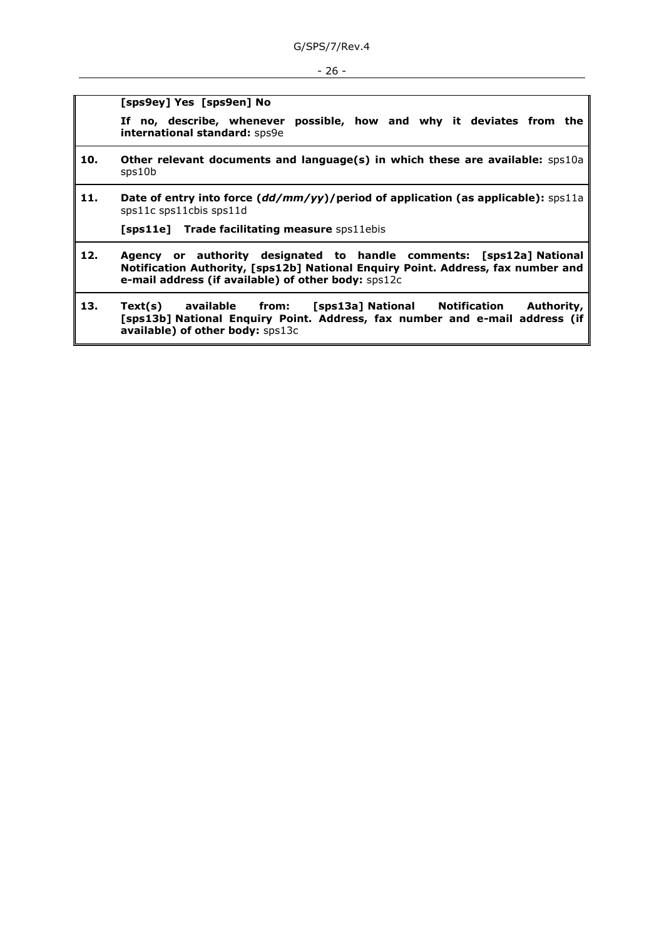#### - 26 -

**[sps9ey] Yes [sps9en] No**

**If no, describe, whenever possible, how and why it deviates from the international standard:** sps9e

- **10. Other relevant documents and language(s) in which these are available:** sps10a sps10b
- **11. Date of entry into force (***dd/mm/yy***)/period of application (as applicable):** sps11a sps11c sps11cbis sps11d

**[sps11e] Trade facilitating measure** sps11ebis

- **12. Agency or authority designated to handle comments: [sps12a] National Notification Authority, [sps12b] National Enquiry Point. Address, fax number and e-mail address (if available) of other body:** sps12c
- **13. Text(s) available from: [sps13a] National Notification Authority, [sps13b] National Enquiry Point. Address, fax number and e-mail address (if available) of other body:** sps13c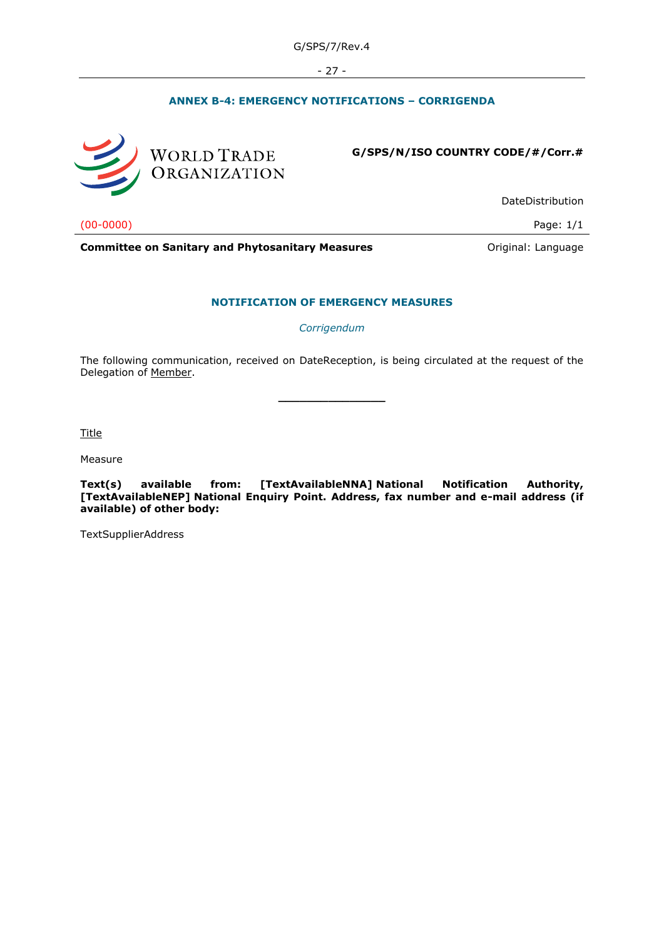- 27 -

# **ANNEX B-4: EMERGENCY NOTIFICATIONS – CORRIGENDA**



**G/SPS/N/ISO COUNTRY CODE/#/Corr.#**

DateDistribution

(00-0000) Page: 1/1

**Committee on Sanitary and Phytosanitary Measures Committee on Sanitary and Phytosanitary Measures Committee on Sanitary and Phytosanitary Measures** 

#### **NOTIFICATION OF EMERGENCY MEASURES**

*Corrigendum*

The following communication, received on DateReception, is being circulated at the request of the Delegation of Member.

**\_\_\_\_\_\_\_\_\_\_\_\_\_\_\_**

Title

Measure

**Text(s) available from: [TextAvailableNNA] National Notification Authority, [TextAvailableNEP] National Enquiry Point. Address, fax number and e-mail address (if available) of other body:**

TextSupplierAddress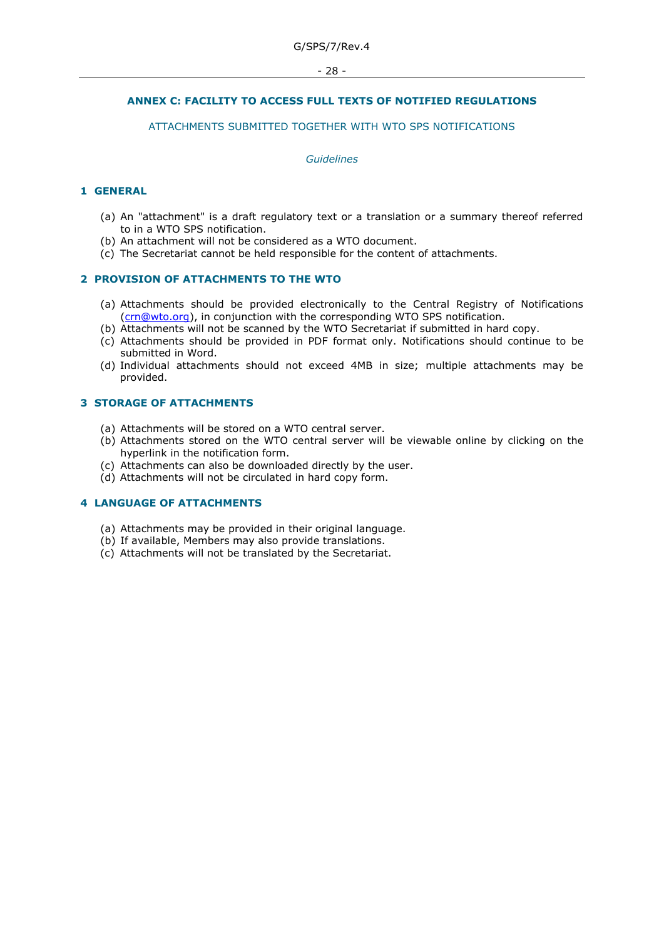# **ANNEX C: FACILITY TO ACCESS FULL TEXTS OF NOTIFIED REGULATIONS**

# ATTACHMENTS SUBMITTED TOGETHER WITH WTO SPS NOTIFICATIONS

#### *Guidelines*

### **1 GENERAL**

- (a) An "attachment" is a draft regulatory text or a translation or a summary thereof referred to in a WTO SPS notification.
- (b) An attachment will not be considered as a WTO document.
- (c) The Secretariat cannot be held responsible for the content of attachments.

#### **2 PROVISION OF ATTACHMENTS TO THE WTO**

- (a) Attachments should be provided electronically to the Central Registry of Notifications [\(crn@wto.org\)](mailto:crn@wto.org), in conjunction with the corresponding WTO SPS notification.
- (b) Attachments will not be scanned by the WTO Secretariat if submitted in hard copy.
- (c) Attachments should be provided in PDF format only. Notifications should continue to be submitted in Word.
- (d) Individual attachments should not exceed 4MB in size; multiple attachments may be provided.

#### **3 STORAGE OF ATTACHMENTS**

- (a) Attachments will be stored on a WTO central server.
- (b) Attachments stored on the WTO central server will be viewable online by clicking on the hyperlink in the notification form.
- (c) Attachments can also be downloaded directly by the user.
- (d) Attachments will not be circulated in hard copy form.

## **4 LANGUAGE OF ATTACHMENTS**

- (a) Attachments may be provided in their original language.
- (b) If available, Members may also provide translations.
- (c) Attachments will not be translated by the Secretariat.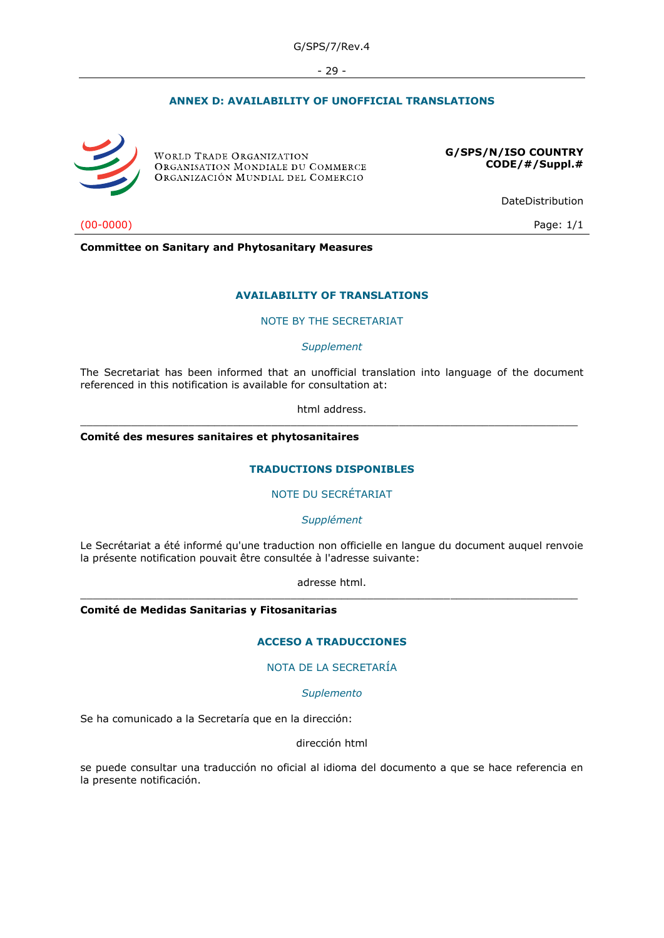- 29 -

# **ANNEX D: AVAILABILITY OF UNOFFICIAL TRANSLATIONS**



**WORLD TRADE ORGANIZATION** ORGANISATION MONDIALE DU COMMERCE ORGANIZACIÓN MUNDIAL DEL COMERCIO

**G/SPS/N/ISO COUNTRY CODE/#/Suppl.#**

DateDistribution

(00-0000) Page: 1/1

**Committee on Sanitary and Phytosanitary Measures**

#### **AVAILABILITY OF TRANSLATIONS**

#### NOTE BY THE SECRETARIAT

*Supplement*

The Secretariat has been informed that an unofficial translation into language of the document referenced in this notification is available for consultation at:

html address. \_\_\_\_\_\_\_\_\_\_\_\_\_\_\_\_\_\_\_\_\_\_\_\_\_\_\_\_\_\_\_\_\_\_\_\_\_\_\_\_\_\_\_\_\_\_\_\_\_\_\_\_\_\_\_\_\_\_\_\_\_\_\_\_\_\_\_\_\_\_\_\_\_\_\_\_\_\_

**Comité des mesures sanitaires et phytosanitaires**

#### **TRADUCTIONS DISPONIBLES**

#### NOTE DU SECRÉTARIAT

*Supplément*

Le Secrétariat a été informé qu'une traduction non officielle en langue du document auquel renvoie la présente notification pouvait être consultée à l'adresse suivante:

adresse html. \_\_\_\_\_\_\_\_\_\_\_\_\_\_\_\_\_\_\_\_\_\_\_\_\_\_\_\_\_\_\_\_\_\_\_\_\_\_\_\_\_\_\_\_\_\_\_\_\_\_\_\_\_\_\_\_\_\_\_\_\_\_\_\_\_\_\_\_\_\_\_\_\_\_\_\_\_\_

**Comité de Medidas Sanitarias y Fitosanitarias**

# **ACCESO A TRADUCCIONES**

# NOTA DE LA SECRETARÍA

*Suplemento*

Se ha comunicado a la Secretaría que en la dirección:

#### dirección html

se puede consultar una traducción no oficial al idioma del documento a que se hace referencia en la presente notificación.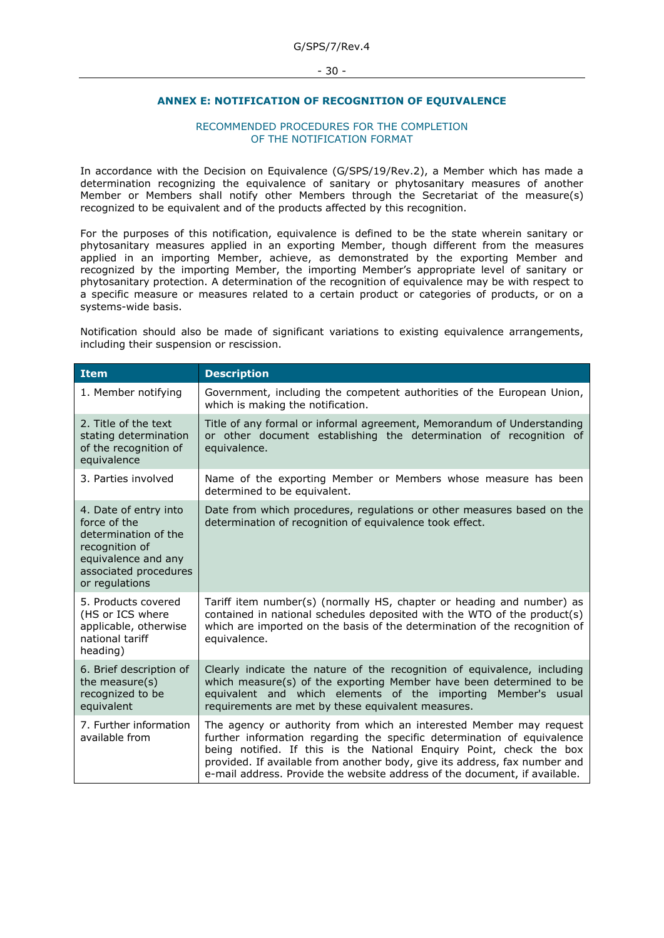# **ANNEX E: NOTIFICATION OF RECOGNITION OF EQUIVALENCE**

#### RECOMMENDED PROCEDURES FOR THE COMPLETION OF THE NOTIFICATION FORMAT

In accordance with the Decision on Equivalence (G/SPS/19/Rev.2), a Member which has made a determination recognizing the equivalence of sanitary or phytosanitary measures of another Member or Members shall notify other Members through the Secretariat of the measure(s) recognized to be equivalent and of the products affected by this recognition.

For the purposes of this notification, equivalence is defined to be the state wherein sanitary or phytosanitary measures applied in an exporting Member, though different from the measures applied in an importing Member, achieve, as demonstrated by the exporting Member and recognized by the importing Member, the importing Member's appropriate level of sanitary or phytosanitary protection. A determination of the recognition of equivalence may be with respect to a specific measure or measures related to a certain product or categories of products, or on a systems-wide basis.

Notification should also be made of significant variations to existing equivalence arrangements, including their suspension or rescission.

| <b>Item</b>                                                                                                                                       | <b>Description</b>                                                                                                                                                                                                                                                                                                                                                                 |
|---------------------------------------------------------------------------------------------------------------------------------------------------|------------------------------------------------------------------------------------------------------------------------------------------------------------------------------------------------------------------------------------------------------------------------------------------------------------------------------------------------------------------------------------|
| 1. Member notifying                                                                                                                               | Government, including the competent authorities of the European Union,<br>which is making the notification.                                                                                                                                                                                                                                                                        |
| 2. Title of the text<br>stating determination<br>of the recognition of<br>equivalence                                                             | Title of any formal or informal agreement, Memorandum of Understanding<br>or other document establishing the determination of recognition of<br>equivalence.                                                                                                                                                                                                                       |
| 3. Parties involved                                                                                                                               | Name of the exporting Member or Members whose measure has been<br>determined to be equivalent.                                                                                                                                                                                                                                                                                     |
| 4. Date of entry into<br>force of the<br>determination of the<br>recognition of<br>equivalence and any<br>associated procedures<br>or regulations | Date from which procedures, regulations or other measures based on the<br>determination of recognition of equivalence took effect.                                                                                                                                                                                                                                                 |
| 5. Products covered<br>(HS or ICS where<br>applicable, otherwise<br>national tariff<br>heading)                                                   | Tariff item number(s) (normally HS, chapter or heading and number) as<br>contained in national schedules deposited with the WTO of the product(s)<br>which are imported on the basis of the determination of the recognition of<br>equivalence.                                                                                                                                    |
| 6. Brief description of<br>the measure $(s)$<br>recognized to be<br>equivalent                                                                    | Clearly indicate the nature of the recognition of equivalence, including<br>which measure(s) of the exporting Member have been determined to be<br>equivalent and which elements of the importing<br>Member's usual<br>requirements are met by these equivalent measures.                                                                                                          |
| 7. Further information<br>available from                                                                                                          | The agency or authority from which an interested Member may request<br>further information regarding the specific determination of equivalence<br>being notified. If this is the National Enquiry Point, check the box<br>provided. If available from another body, give its address, fax number and<br>e-mail address. Provide the website address of the document, if available. |